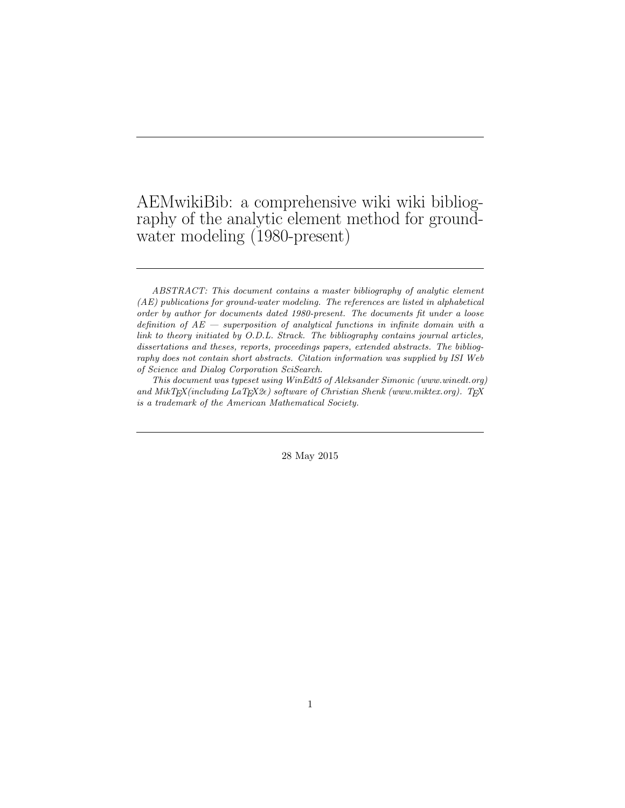## AEMwikiBib: a comprehensive wiki wiki bibliography of the analytic element method for groundwater modeling (1980-present)

This document was typeset using WinEdt5 of Aleksander Simonic (www.winedt.org) and MikTEX(including LaTEX2 $\epsilon$ ) software of Christian Shenk (www.miktex.org). TEX is a trademark of the American Mathematical Society.

28 May 2015

ABSTRACT: This document contains a master bibliography of analytic element (AE) publications for ground-water modeling. The references are listed in alphabetical order by author for documents dated 1980-present. The documents fit under a loose definition of  $AE$  — superposition of analytical functions in infinite domain with a link to theory initiated by O.D.L. Strack. The bibliography contains journal articles, dissertations and theses, reports, proceedings papers, extended abstracts. The bibliography does not contain short abstracts. Citation information was supplied by ISI Web of Science and Dialog Corporation SciSearch.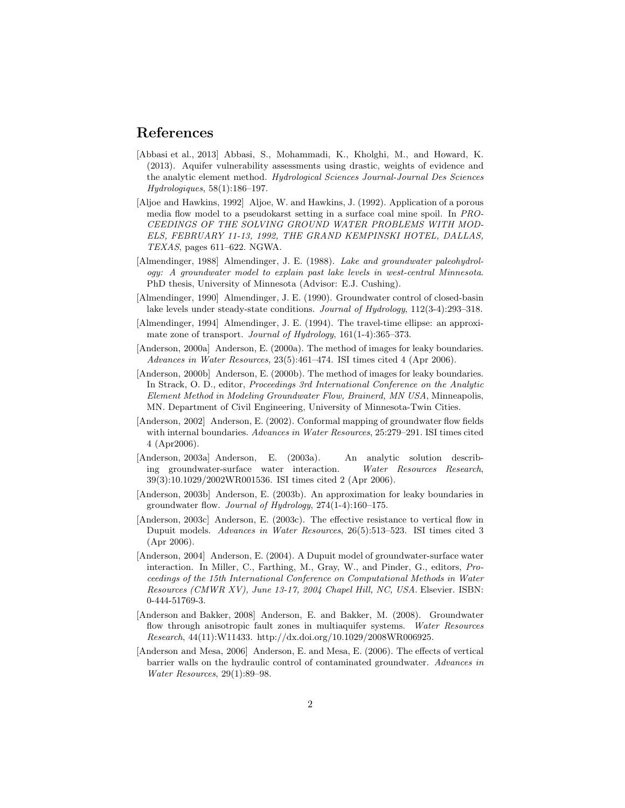## References

- [Abbasi et al., 2013] Abbasi, S., Mohammadi, K., Kholghi, M., and Howard, K. (2013). Aquifer vulnerability assessments using drastic, weights of evidence and the analytic element method. Hydrological Sciences Journal-Journal Des Sciences Hydrologiques, 58(1):186–197.
- [Aljoe and Hawkins, 1992] Aljoe, W. and Hawkins, J. (1992). Application of a porous media flow model to a pseudokarst setting in a surface coal mine spoil. In PRO-CEEDINGS OF THE SOLVING GROUND WATER PROBLEMS WITH MOD-ELS, FEBRUARY 11-13, 1992, THE GRAND KEMPINSKI HOTEL, DALLAS, TEXAS, pages 611–622. NGWA.
- [Almendinger, 1988] Almendinger, J. E. (1988). Lake and groundwater paleohydrology: A groundwater model to explain past lake levels in west-central Minnesota. PhD thesis, University of Minnesota (Advisor: E.J. Cushing).
- [Almendinger, 1990] Almendinger, J. E. (1990). Groundwater control of closed-basin lake levels under steady-state conditions. Journal of Hydrology, 112(3-4):293–318.
- [Almendinger, 1994] Almendinger, J. E. (1994). The travel-time ellipse: an approximate zone of transport. Journal of Hydrology, 161(1-4):365–373.
- [Anderson, 2000a] Anderson, E. (2000a). The method of images for leaky boundaries. Advances in Water Resources, 23(5):461–474. ISI times cited 4 (Apr 2006).
- [Anderson, 2000b] Anderson, E. (2000b). The method of images for leaky boundaries. In Strack, O. D., editor, Proceedings 3rd International Conference on the Analytic Element Method in Modeling Groundwater Flow, Brainerd, MN USA, Minneapolis, MN. Department of Civil Engineering, University of Minnesota-Twin Cities.
- [Anderson, 2002] Anderson, E. (2002). Conformal mapping of groundwater flow fields with internal boundaries. Advances in Water Resources, 25:279–291. ISI times cited 4 (Apr2006).
- [Anderson, 2003a] Anderson, E. (2003a). An analytic solution describing groundwater-surface water interaction. Water Resources Research, 39(3):10.1029/2002WR001536. ISI times cited 2 (Apr 2006).
- [Anderson, 2003b] Anderson, E. (2003b). An approximation for leaky boundaries in groundwater flow. Journal of Hydrology, 274(1-4):160–175.
- [Anderson, 2003c] Anderson, E. (2003c). The effective resistance to vertical flow in Dupuit models. Advances in Water Resources, 26(5):513–523. ISI times cited 3 (Apr 2006).
- [Anderson, 2004] Anderson, E. (2004). A Dupuit model of groundwater-surface water interaction. In Miller, C., Farthing, M., Gray, W., and Pinder, G., editors, Proceedings of the 15th International Conference on Computational Methods in Water Resources (CMWR XV), June 13-17, 2004 Chapel Hill, NC, USA. Elsevier. ISBN: 0-444-51769-3.
- [Anderson and Bakker, 2008] Anderson, E. and Bakker, M. (2008). Groundwater flow through anisotropic fault zones in multiaquifer systems. Water Resources Research, 44(11):W11433. http://dx.doi.org/10.1029/2008WR006925.
- [Anderson and Mesa, 2006] Anderson, E. and Mesa, E. (2006). The effects of vertical barrier walls on the hydraulic control of contaminated groundwater. Advances in Water Resources, 29(1):89–98.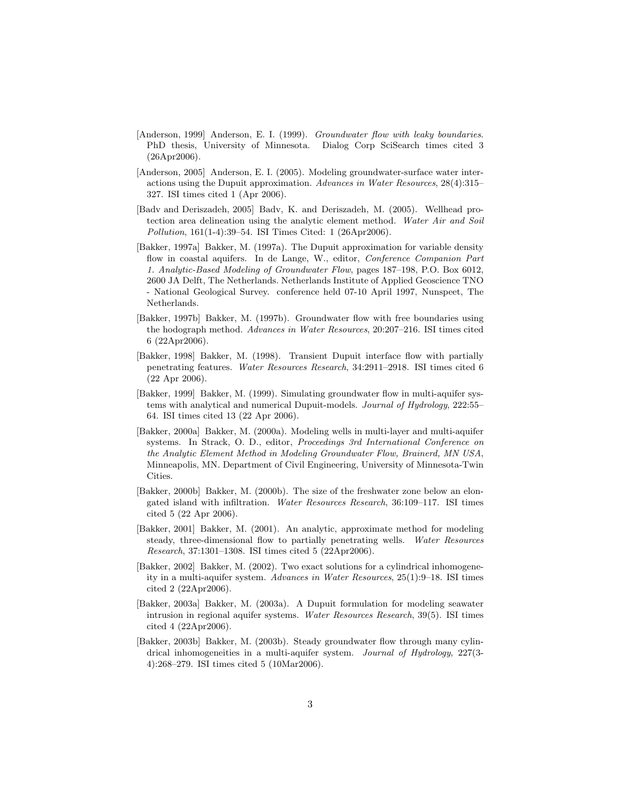- [Anderson, 1999] Anderson, E. I. (1999). Groundwater flow with leaky boundaries. PhD thesis, University of Minnesota. Dialog Corp SciSearch times cited 3 (26Apr2006).
- [Anderson, 2005] Anderson, E. I. (2005). Modeling groundwater-surface water interactions using the Dupuit approximation. Advances in Water Resources, 28(4):315– 327. ISI times cited 1 (Apr 2006).
- [Badv and Deriszadeh, 2005] Badv, K. and Deriszadeh, M. (2005). Wellhead protection area delineation using the analytic element method. Water Air and Soil Pollution, 161(1-4):39–54. ISI Times Cited: 1 (26Apr2006).
- [Bakker, 1997a] Bakker, M. (1997a). The Dupuit approximation for variable density flow in coastal aquifers. In de Lange, W., editor, Conference Companion Part 1. Analytic-Based Modeling of Groundwater Flow, pages 187–198, P.O. Box 6012, 2600 JA Delft, The Netherlands. Netherlands Institute of Applied Geoscience TNO - National Geological Survey. conference held 07-10 April 1997, Nunspeet, The Netherlands.
- [Bakker, 1997b] Bakker, M. (1997b). Groundwater flow with free boundaries using the hodograph method. Advances in Water Resources, 20:207–216. ISI times cited 6 (22Apr2006).
- [Bakker, 1998] Bakker, M. (1998). Transient Dupuit interface flow with partially penetrating features. Water Resources Research, 34:2911–2918. ISI times cited 6 (22 Apr 2006).
- [Bakker, 1999] Bakker, M. (1999). Simulating groundwater flow in multi-aquifer systems with analytical and numerical Dupuit-models. Journal of Hydrology, 222:55– 64. ISI times cited 13 (22 Apr 2006).
- [Bakker, 2000a] Bakker, M. (2000a). Modeling wells in multi-layer and multi-aquifer systems. In Strack, O. D., editor, Proceedings 3rd International Conference on the Analytic Element Method in Modeling Groundwater Flow, Brainerd, MN USA, Minneapolis, MN. Department of Civil Engineering, University of Minnesota-Twin Cities.
- [Bakker, 2000b] Bakker, M. (2000b). The size of the freshwater zone below an elongated island with infiltration. Water Resources Research, 36:109–117. ISI times cited 5 (22 Apr 2006).
- [Bakker, 2001] Bakker, M. (2001). An analytic, approximate method for modeling steady, three-dimensional flow to partially penetrating wells. Water Resources Research, 37:1301–1308. ISI times cited 5 (22Apr2006).
- [Bakker, 2002] Bakker, M. (2002). Two exact solutions for a cylindrical inhomogeneity in a multi-aquifer system. Advances in Water Resources, 25(1):9–18. ISI times cited 2 (22Apr2006).
- [Bakker, 2003a] Bakker, M. (2003a). A Dupuit formulation for modeling seawater intrusion in regional aquifer systems. Water Resources Research, 39(5). ISI times cited 4 (22Apr2006).
- [Bakker, 2003b] Bakker, M. (2003b). Steady groundwater flow through many cylindrical inhomogeneities in a multi-aquifer system. Journal of Hydrology, 227(3-4):268–279. ISI times cited 5 (10Mar2006).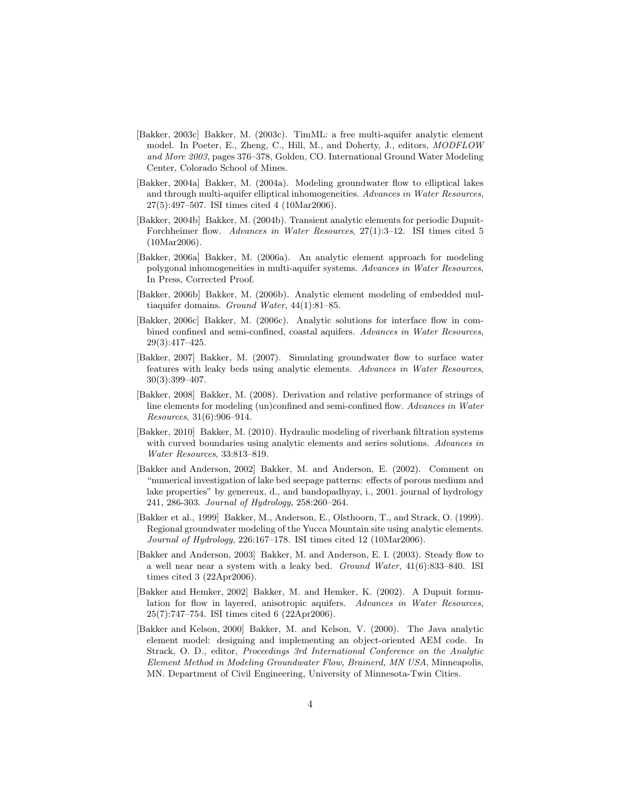- [Bakker, 2003c] Bakker, M. (2003c). TimML: a free multi-aquifer analytic element model. In Poeter, E., Zheng, C., Hill, M., and Doherty, J., editors, MODFLOW and More 2003, pages 376–378, Golden, CO. International Ground Water Modeling Center, Colorado School of Mines.
- [Bakker, 2004a] Bakker, M. (2004a). Modeling groundwater flow to elliptical lakes and through multi-aquifer elliptical inhomogeneities. Advances in Water Resources, 27(5):497–507. ISI times cited 4 (10Mar2006).
- [Bakker, 2004b] Bakker, M. (2004b). Transient analytic elements for periodic Dupuit-Forchheimer flow. Advances in Water Resources, 27(1):3–12. ISI times cited 5 (10Mar2006).
- [Bakker, 2006a] Bakker, M. (2006a). An analytic element approach for modeling polygonal inhomogeneities in multi-aquifer systems. Advances in Water Resources, In Press, Corrected Proof.
- [Bakker, 2006b] Bakker, M. (2006b). Analytic element modeling of embedded multiaquifer domains. Ground Water, 44(1):81–85.
- [Bakker, 2006c] Bakker, M. (2006c). Analytic solutions for interface flow in combined confined and semi-confined, coastal aquifers. Advances in Water Resources, 29(3):417–425.
- [Bakker, 2007] Bakker, M. (2007). Simulating groundwater flow to surface water features with leaky beds using analytic elements. Advances in Water Resources, 30(3):399–407.
- [Bakker, 2008] Bakker, M. (2008). Derivation and relative performance of strings of line elements for modeling (un)confined and semi-confined flow. Advances in Water Resources, 31(6):906–914.
- [Bakker, 2010] Bakker, M. (2010). Hydraulic modeling of riverbank filtration systems with curved boundaries using analytic elements and series solutions. Advances in Water Resources, 33:813–819.
- [Bakker and Anderson, 2002] Bakker, M. and Anderson, E. (2002). Comment on "numerical investigation of lake bed seepage patterns: effects of porous medium and lake properties" by genereux, d., and bandopadhyay, i., 2001. journal of hydrology 241, 286-303. Journal of Hydrology, 258:260–264.
- [Bakker et al., 1999] Bakker, M., Anderson, E., Olsthoorn, T., and Strack, O. (1999). Regional groundwater modeling of the Yucca Mountain site using analytic elements. Journal of Hydrology, 226:167–178. ISI times cited 12 (10Mar2006).
- [Bakker and Anderson, 2003] Bakker, M. and Anderson, E. I. (2003). Steady flow to a well near near a system with a leaky bed. Ground Water, 41(6):833–840. ISI times cited 3 (22Apr2006).
- [Bakker and Hemker, 2002] Bakker, M. and Hemker, K. (2002). A Dupuit formulation for flow in layered, anisotropic aquifers. Advances in Water Resources, 25(7):747–754. ISI times cited 6 (22Apr2006).
- [Bakker and Kelson, 2000] Bakker, M. and Kelson, V. (2000). The Java analytic element model: designing and implementing an object-oriented AEM code. In Strack, O. D., editor, Proceedings 3rd International Conference on the Analytic Element Method in Modeling Groundwater Flow, Brainerd, MN USA, Minneapolis, MN. Department of Civil Engineering, University of Minnesota-Twin Cities.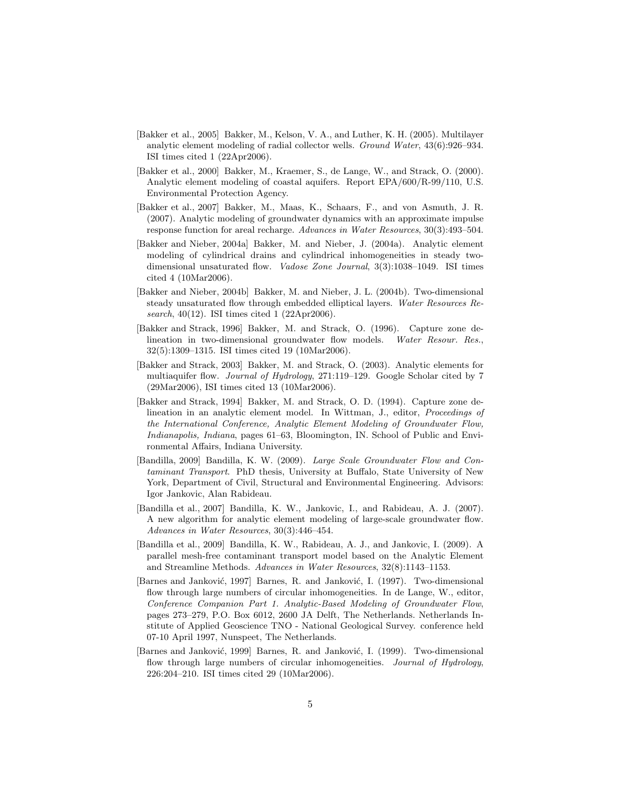- [Bakker et al., 2005] Bakker, M., Kelson, V. A., and Luther, K. H. (2005). Multilayer analytic element modeling of radial collector wells. Ground Water, 43(6):926–934. ISI times cited 1 (22Apr2006).
- [Bakker et al., 2000] Bakker, M., Kraemer, S., de Lange, W., and Strack, O. (2000). Analytic element modeling of coastal aquifers. Report EPA/600/R-99/110, U.S. Environmental Protection Agency.
- [Bakker et al., 2007] Bakker, M., Maas, K., Schaars, F., and von Asmuth, J. R. (2007). Analytic modeling of groundwater dynamics with an approximate impulse response function for areal recharge. Advances in Water Resources, 30(3):493–504.
- [Bakker and Nieber, 2004a] Bakker, M. and Nieber, J. (2004a). Analytic element modeling of cylindrical drains and cylindrical inhomogeneities in steady twodimensional unsaturated flow. Vadose Zone Journal, 3(3):1038–1049. ISI times cited 4 (10Mar2006).
- [Bakker and Nieber, 2004b] Bakker, M. and Nieber, J. L. (2004b). Two-dimensional steady unsaturated flow through embedded elliptical layers. Water Resources Research, 40(12). ISI times cited 1 (22Apr2006).
- [Bakker and Strack, 1996] Bakker, M. and Strack, O. (1996). Capture zone delineation in two-dimensional groundwater flow models. Water Resour. Res., 32(5):1309–1315. ISI times cited 19 (10Mar2006).
- [Bakker and Strack, 2003] Bakker, M. and Strack, O. (2003). Analytic elements for multiaquifer flow. Journal of Hydrology, 271:119–129. Google Scholar cited by 7 (29Mar2006), ISI times cited 13 (10Mar2006).
- [Bakker and Strack, 1994] Bakker, M. and Strack, O. D. (1994). Capture zone delineation in an analytic element model. In Wittman, J., editor, Proceedings of the International Conference, Analytic Element Modeling of Groundwater Flow, Indianapolis, Indiana, pages 61–63, Bloomington, IN. School of Public and Environmental Affairs, Indiana University.
- [Bandilla, 2009] Bandilla, K. W. (2009). Large Scale Groundwater Flow and Contaminant Transport. PhD thesis, University at Buffalo, State University of New York, Department of Civil, Structural and Environmental Engineering. Advisors: Igor Jankovic, Alan Rabideau.
- [Bandilla et al., 2007] Bandilla, K. W., Jankovic, I., and Rabideau, A. J. (2007). A new algorithm for analytic element modeling of large-scale groundwater flow. Advances in Water Resources, 30(3):446–454.
- [Bandilla et al., 2009] Bandilla, K. W., Rabideau, A. J., and Jankovic, I. (2009). A parallel mesh-free contaminant transport model based on the Analytic Element and Streamline Methods. Advances in Water Resources, 32(8):1143–1153.
- [Barnes and Janković, 1997] Barnes, R. and Janković, I. (1997). Two-dimensional flow through large numbers of circular inhomogeneities. In de Lange, W., editor, Conference Companion Part 1. Analytic-Based Modeling of Groundwater Flow, pages 273–279, P.O. Box 6012, 2600 JA Delft, The Netherlands. Netherlands Institute of Applied Geoscience TNO - National Geological Survey. conference held 07-10 April 1997, Nunspeet, The Netherlands.
- [Barnes and Janković, 1999] Barnes, R. and Janković, I. (1999). Two-dimensional flow through large numbers of circular inhomogeneities. Journal of Hydrology, 226:204–210. ISI times cited 29 (10Mar2006).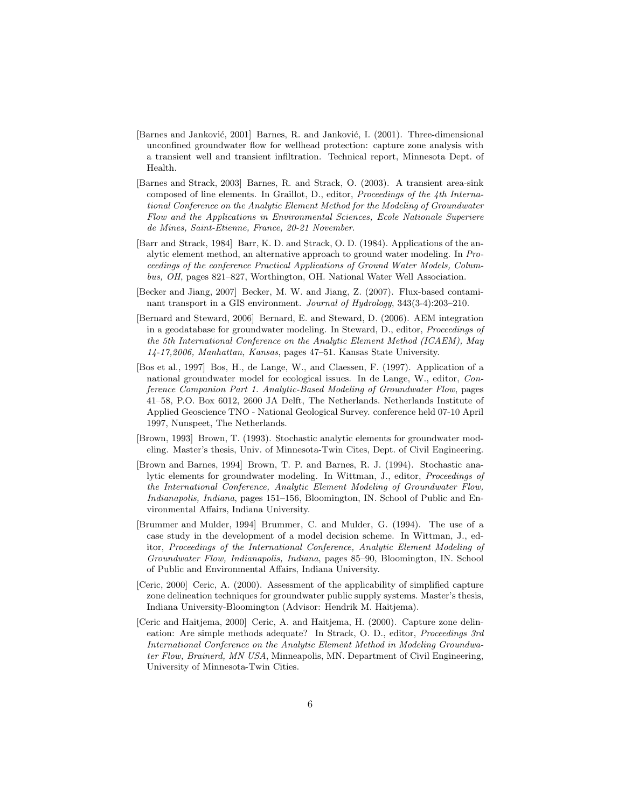- [Barnes and Janković, 2001] Barnes, R. and Janković, I. (2001). Three-dimensional unconfined groundwater flow for wellhead protection: capture zone analysis with a transient well and transient infiltration. Technical report, Minnesota Dept. of Health.
- [Barnes and Strack, 2003] Barnes, R. and Strack, O. (2003). A transient area-sink composed of line elements. In Graillot, D., editor, Proceedings of the 4th International Conference on the Analytic Element Method for the Modeling of Groundwater Flow and the Applications in Environmental Sciences, Ecole Nationale Superiere de Mines, Saint-Etienne, France, 20-21 November.
- [Barr and Strack, 1984] Barr, K. D. and Strack, O. D. (1984). Applications of the analytic element method, an alternative approach to ground water modeling. In Proceedings of the conference Practical Applications of Ground Water Models, Columbus, OH, pages 821–827, Worthington, OH. National Water Well Association.
- [Becker and Jiang, 2007] Becker, M. W. and Jiang, Z. (2007). Flux-based contaminant transport in a GIS environment. Journal of Hydrology, 343(3-4):203–210.
- [Bernard and Steward, 2006] Bernard, E. and Steward, D. (2006). AEM integration in a geodatabase for groundwater modeling. In Steward, D., editor, Proceedings of the 5th International Conference on the Analytic Element Method (ICAEM), May 14-17,2006, Manhattan, Kansas, pages 47–51. Kansas State University.
- [Bos et al., 1997] Bos, H., de Lange, W., and Claessen, F. (1997). Application of a national groundwater model for ecological issues. In de Lange, W., editor, Conference Companion Part 1. Analytic-Based Modeling of Groundwater Flow, pages 41–58, P.O. Box 6012, 2600 JA Delft, The Netherlands. Netherlands Institute of Applied Geoscience TNO - National Geological Survey. conference held 07-10 April 1997, Nunspeet, The Netherlands.
- [Brown, 1993] Brown, T. (1993). Stochastic analytic elements for groundwater modeling. Master's thesis, Univ. of Minnesota-Twin Cites, Dept. of Civil Engineering.
- [Brown and Barnes, 1994] Brown, T. P. and Barnes, R. J. (1994). Stochastic analytic elements for groundwater modeling. In Wittman, J., editor, Proceedings of the International Conference, Analytic Element Modeling of Groundwater Flow, Indianapolis, Indiana, pages 151–156, Bloomington, IN. School of Public and Environmental Affairs, Indiana University.
- [Brummer and Mulder, 1994] Brummer, C. and Mulder, G. (1994). The use of a case study in the development of a model decision scheme. In Wittman, J., editor, Proceedings of the International Conference, Analytic Element Modeling of Groundwater Flow, Indianapolis, Indiana, pages 85–90, Bloomington, IN. School of Public and Environmental Affairs, Indiana University.
- [Ceric, 2000] Ceric, A. (2000). Assessment of the applicability of simplified capture zone delineation techniques for groundwater public supply systems. Master's thesis, Indiana University-Bloomington (Advisor: Hendrik M. Haitjema).
- [Ceric and Haitjema, 2000] Ceric, A. and Haitjema, H. (2000). Capture zone delineation: Are simple methods adequate? In Strack, O. D., editor, Proceedings 3rd International Conference on the Analytic Element Method in Modeling Groundwater Flow, Brainerd, MN USA, Minneapolis, MN. Department of Civil Engineering, University of Minnesota-Twin Cities.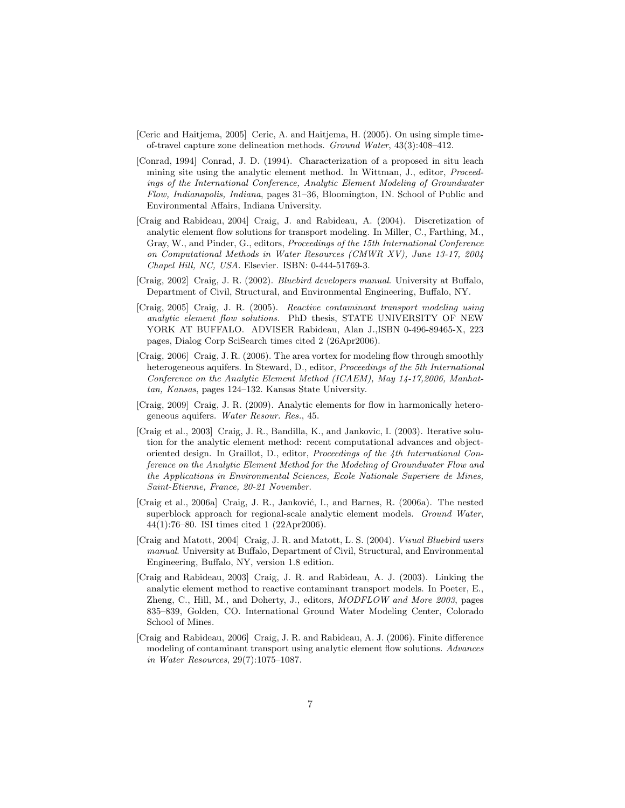- [Ceric and Haitjema, 2005] Ceric, A. and Haitjema, H. (2005). On using simple timeof-travel capture zone delineation methods. Ground Water, 43(3):408–412.
- [Conrad, 1994] Conrad, J. D. (1994). Characterization of a proposed in situ leach mining site using the analytic element method. In Wittman, J., editor, Proceedings of the International Conference, Analytic Element Modeling of Groundwater Flow, Indianapolis, Indiana, pages 31–36, Bloomington, IN. School of Public and Environmental Affairs, Indiana University.
- [Craig and Rabideau, 2004] Craig, J. and Rabideau, A. (2004). Discretization of analytic element flow solutions for transport modeling. In Miller, C., Farthing, M., Gray, W., and Pinder, G., editors, Proceedings of the 15th International Conference on Computational Methods in Water Resources (CMWR XV), June 13-17, 2004 Chapel Hill, NC, USA. Elsevier. ISBN: 0-444-51769-3.
- [Craig, 2002] Craig, J. R. (2002). Bluebird developers manual. University at Buffalo, Department of Civil, Structural, and Environmental Engineering, Buffalo, NY.
- [Craig, 2005] Craig, J. R. (2005). Reactive contaminant transport modeling using analytic element flow solutions. PhD thesis, STATE UNIVERSITY OF NEW YORK AT BUFFALO. ADVISER Rabideau, Alan J.,ISBN 0-496-89465-X, 223 pages, Dialog Corp SciSearch times cited 2 (26Apr2006).
- [Craig, 2006] Craig, J. R. (2006). The area vortex for modeling flow through smoothly heterogeneous aquifers. In Steward, D., editor, Proceedings of the 5th International Conference on the Analytic Element Method (ICAEM), May 14-17,2006, Manhattan, Kansas, pages 124–132. Kansas State University.
- [Craig, 2009] Craig, J. R. (2009). Analytic elements for flow in harmonically heterogeneous aquifers. Water Resour. Res., 45.
- [Craig et al., 2003] Craig, J. R., Bandilla, K., and Jankovic, I. (2003). Iterative solution for the analytic element method: recent computational advances and objectoriented design. In Graillot, D., editor, Proceedings of the 4th International Conference on the Analytic Element Method for the Modeling of Groundwater Flow and the Applications in Environmental Sciences, Ecole Nationale Superiere de Mines, Saint-Etienne, France, 20-21 November.
- [Craig et al., 2006a] Craig, J. R., Janković, I., and Barnes, R. (2006a). The nested superblock approach for regional-scale analytic element models. Ground Water, 44(1):76–80. ISI times cited 1 (22Apr2006).
- [Craig and Matott, 2004] Craig, J. R. and Matott, L. S. (2004). Visual Bluebird users manual. University at Buffalo, Department of Civil, Structural, and Environmental Engineering, Buffalo, NY, version 1.8 edition.
- [Craig and Rabideau, 2003] Craig, J. R. and Rabideau, A. J. (2003). Linking the analytic element method to reactive contaminant transport models. In Poeter, E., Zheng, C., Hill, M., and Doherty, J., editors, MODFLOW and More 2003, pages 835–839, Golden, CO. International Ground Water Modeling Center, Colorado School of Mines.
- [Craig and Rabideau, 2006] Craig, J. R. and Rabideau, A. J. (2006). Finite difference modeling of contaminant transport using analytic element flow solutions. Advances in Water Resources, 29(7):1075–1087.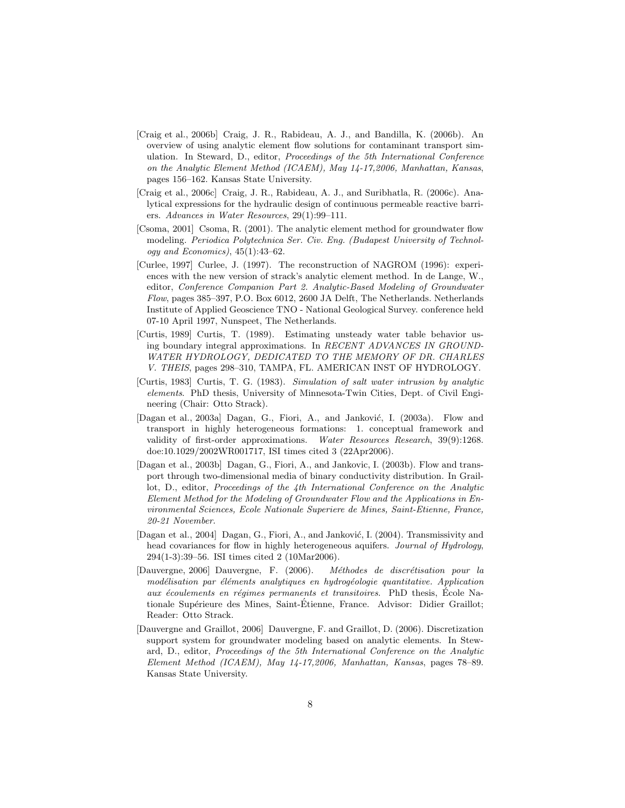- [Craig et al., 2006b] Craig, J. R., Rabideau, A. J., and Bandilla, K. (2006b). An overview of using analytic element flow solutions for contaminant transport simulation. In Steward, D., editor, Proceedings of the 5th International Conference on the Analytic Element Method (ICAEM), May 14-17,2006, Manhattan, Kansas, pages 156–162. Kansas State University.
- [Craig et al., 2006c] Craig, J. R., Rabideau, A. J., and Suribhatla, R. (2006c). Analytical expressions for the hydraulic design of continuous permeable reactive barriers. Advances in Water Resources, 29(1):99–111.
- [Csoma, 2001] Csoma, R. (2001). The analytic element method for groundwater flow modeling. Periodica Polytechnica Ser. Civ. Eng. (Budapest University of Technology and Economics),  $45(1):43-62$ .
- [Curlee, 1997] Curlee, J. (1997). The reconstruction of NAGROM (1996): experiences with the new version of strack's analytic element method. In de Lange, W., editor, Conference Companion Part 2. Analytic-Based Modeling of Groundwater Flow, pages 385–397, P.O. Box 6012, 2600 JA Delft, The Netherlands. Netherlands Institute of Applied Geoscience TNO - National Geological Survey. conference held 07-10 April 1997, Nunspeet, The Netherlands.
- [Curtis, 1989] Curtis, T. (1989). Estimating unsteady water table behavior using boundary integral approximations. In RECENT ADVANCES IN GROUND-WATER HYDROLOGY, DEDICATED TO THE MEMORY OF DR. CHARLES V. THEIS, pages 298–310, TAMPA, FL. AMERICAN INST OF HYDROLOGY.
- [Curtis, 1983] Curtis, T. G. (1983). Simulation of salt water intrusion by analytic elements. PhD thesis, University of Minnesota-Twin Cities, Dept. of Civil Engineering (Chair: Otto Strack).
- [Dagan et al., 2003a] Dagan, G., Fiori, A., and Janković, I. (2003a). Flow and transport in highly heterogeneous formations: 1. conceptual framework and validity of first-order approximations. Water Resources Research, 39(9):1268. doe:10.1029/2002WR001717, ISI times cited 3 (22Apr2006).
- [Dagan et al., 2003b] Dagan, G., Fiori, A., and Jankovic, I. (2003b). Flow and transport through two-dimensional media of binary conductivity distribution. In Graillot, D., editor, Proceedings of the 4th International Conference on the Analytic Element Method for the Modeling of Groundwater Flow and the Applications in Environmental Sciences, Ecole Nationale Superiere de Mines, Saint-Etienne, France, 20-21 November.
- [Dagan et al., 2004] Dagan, G., Fiori, A., and Janković, I. (2004). Transmissivity and head covariances for flow in highly heterogeneous aquifers. Journal of Hydrology, 294(1-3):39–56. ISI times cited 2 (10Mar2006).
- [Dauvergne, 2006] Dauvergne, F. (2006). Méthodes de discrétisation pour la modélisation par éléments analytiques en hydrogéologie quantitative. Application aux écoulements en régimes permanents et transitoires. PhD thesis, École Nationale Supérieure des Mines, Saint-Étienne, France. Advisor: Didier Graillot; Reader: Otto Strack.
- [Dauvergne and Graillot, 2006] Dauvergne, F. and Graillot, D. (2006). Discretization support system for groundwater modeling based on analytic elements. In Steward, D., editor, Proceedings of the 5th International Conference on the Analytic Element Method (ICAEM), May 14-17,2006, Manhattan, Kansas, pages 78–89. Kansas State University.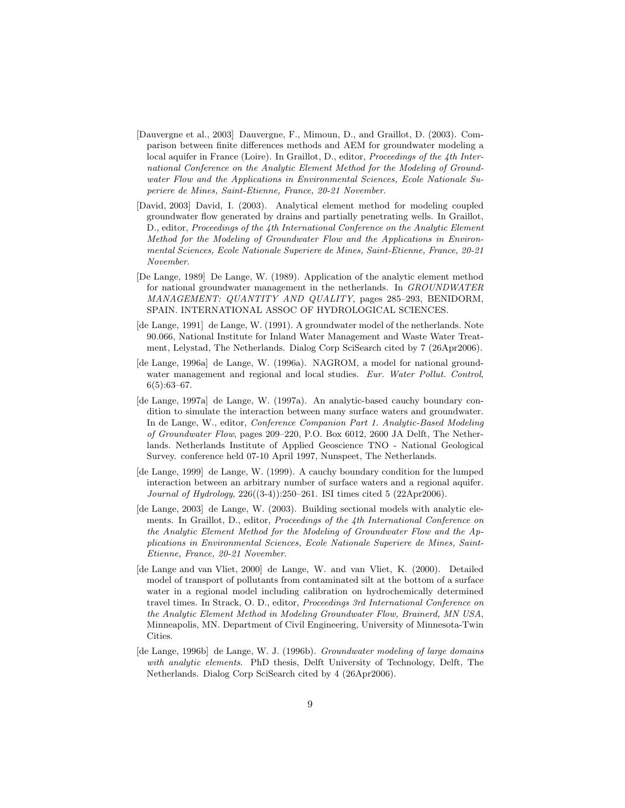- [Dauvergne et al., 2003] Dauvergne, F., Mimoun, D., and Graillot, D. (2003). Comparison between finite differences methods and AEM for groundwater modeling a local aquifer in France (Loire). In Graillot, D., editor, Proceedings of the 4th International Conference on the Analytic Element Method for the Modeling of Groundwater Flow and the Applications in Environmental Sciences, Ecole Nationale Superiere de Mines, Saint-Etienne, France, 20-21 November.
- [David, 2003] David, I. (2003). Analytical element method for modeling coupled groundwater flow generated by drains and partially penetrating wells. In Graillot, D., editor, Proceedings of the 4th International Conference on the Analytic Element Method for the Modeling of Groundwater Flow and the Applications in Environmental Sciences, Ecole Nationale Superiere de Mines, Saint-Etienne, France, 20-21 November.
- [De Lange, 1989] De Lange, W. (1989). Application of the analytic element method for national groundwater management in the netherlands. In GROUNDWATER MANAGEMENT: QUANTITY AND QUALITY, pages 285–293, BENIDORM, SPAIN. INTERNATIONAL ASSOC OF HYDROLOGICAL SCIENCES.
- [de Lange, 1991] de Lange, W. (1991). A groundwater model of the netherlands. Note 90.066, National Institute for Inland Water Management and Waste Water Treatment, Lelystad, The Netherlands. Dialog Corp SciSearch cited by 7 (26Apr2006).
- [de Lange, 1996a] de Lange, W. (1996a). NAGROM, a model for national groundwater management and regional and local studies. Eur. Water Pollut. Control, 6(5):63–67.
- [de Lange, 1997a] de Lange, W. (1997a). An analytic-based cauchy boundary condition to simulate the interaction between many surface waters and groundwater. In de Lange, W., editor, Conference Companion Part 1. Analytic-Based Modeling of Groundwater Flow, pages 209–220, P.O. Box 6012, 2600 JA Delft, The Netherlands. Netherlands Institute of Applied Geoscience TNO - National Geological Survey. conference held 07-10 April 1997, Nunspeet, The Netherlands.
- [de Lange, 1999] de Lange, W. (1999). A cauchy boundary condition for the lumped interaction between an arbitrary number of surface waters and a regional aquifer. Journal of Hydrology, 226((3-4)):250–261. ISI times cited 5 (22Apr2006).
- [de Lange, 2003] de Lange, W. (2003). Building sectional models with analytic elements. In Graillot, D., editor, Proceedings of the 4th International Conference on the Analytic Element Method for the Modeling of Groundwater Flow and the Applications in Environmental Sciences, Ecole Nationale Superiere de Mines, Saint-Etienne, France, 20-21 November.
- [de Lange and van Vliet, 2000] de Lange, W. and van Vliet, K. (2000). Detailed model of transport of pollutants from contaminated silt at the bottom of a surface water in a regional model including calibration on hydrochemically determined travel times. In Strack, O. D., editor, Proceedings 3rd International Conference on the Analytic Element Method in Modeling Groundwater Flow, Brainerd, MN USA, Minneapolis, MN. Department of Civil Engineering, University of Minnesota-Twin Cities.
- [de Lange, 1996b] de Lange, W. J. (1996b). Groundwater modeling of large domains with analytic elements. PhD thesis, Delft University of Technology, Delft, The Netherlands. Dialog Corp SciSearch cited by 4 (26Apr2006).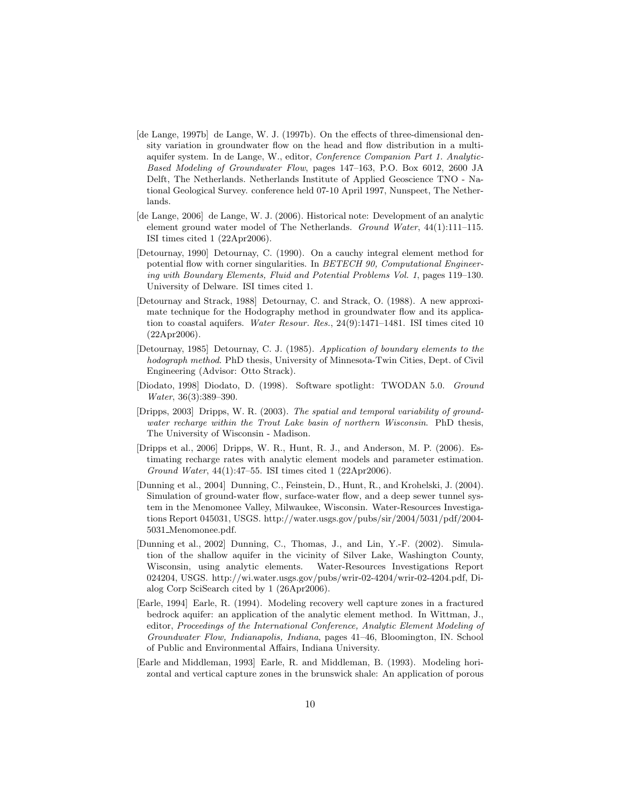- [de Lange, 1997b] de Lange, W. J. (1997b). On the effects of three-dimensional density variation in groundwater flow on the head and flow distribution in a multiaquifer system. In de Lange, W., editor, Conference Companion Part 1. Analytic-Based Modeling of Groundwater Flow, pages 147–163, P.O. Box 6012, 2600 JA Delft, The Netherlands. Netherlands Institute of Applied Geoscience TNO - National Geological Survey. conference held 07-10 April 1997, Nunspeet, The Netherlands.
- [de Lange, 2006] de Lange, W. J. (2006). Historical note: Development of an analytic element ground water model of The Netherlands. Ground Water, 44(1):111–115. ISI times cited 1 (22Apr2006).
- [Detournay, 1990] Detournay, C. (1990). On a cauchy integral element method for potential flow with corner singularities. In BETECH 90, Computational Engineering with Boundary Elements, Fluid and Potential Problems Vol. 1, pages 119–130. University of Delware. ISI times cited 1.
- [Detournay and Strack, 1988] Detournay, C. and Strack, O. (1988). A new approximate technique for the Hodography method in groundwater flow and its application to coastal aquifers. Water Resour. Res., 24(9):1471–1481. ISI times cited 10 (22Apr2006).
- [Detournay, 1985] Detournay, C. J. (1985). Application of boundary elements to the hodograph method. PhD thesis, University of Minnesota-Twin Cities, Dept. of Civil Engineering (Advisor: Otto Strack).
- [Diodato, 1998] Diodato, D. (1998). Software spotlight: TWODAN 5.0. Ground Water, 36(3):389–390.
- [Dripps, 2003] Dripps, W. R. (2003). The spatial and temporal variability of groundwater recharge within the Trout Lake basin of northern Wisconsin. PhD thesis, The University of Wisconsin - Madison.
- [Dripps et al., 2006] Dripps, W. R., Hunt, R. J., and Anderson, M. P. (2006). Estimating recharge rates with analytic element models and parameter estimation. Ground Water, 44(1):47–55. ISI times cited 1 (22Apr2006).
- [Dunning et al., 2004] Dunning, C., Feinstein, D., Hunt, R., and Krohelski, J. (2004). Simulation of ground-water flow, surface-water flow, and a deep sewer tunnel system in the Menomonee Valley, Milwaukee, Wisconsin. Water-Resources Investigations Report 045031, USGS. http://water.usgs.gov/pubs/sir/2004/5031/pdf/2004- 5031 Menomonee.pdf.
- [Dunning et al., 2002] Dunning, C., Thomas, J., and Lin, Y.-F. (2002). Simulation of the shallow aquifer in the vicinity of Silver Lake, Washington County, Wisconsin, using analytic elements. Water-Resources Investigations Report 024204, USGS. http://wi.water.usgs.gov/pubs/wrir-02-4204/wrir-02-4204.pdf, Dialog Corp SciSearch cited by 1 (26Apr2006).
- [Earle, 1994] Earle, R. (1994). Modeling recovery well capture zones in a fractured bedrock aquifer: an application of the analytic element method. In Wittman, J., editor, Proceedings of the International Conference, Analytic Element Modeling of Groundwater Flow, Indianapolis, Indiana, pages 41–46, Bloomington, IN. School of Public and Environmental Affairs, Indiana University.
- [Earle and Middleman, 1993] Earle, R. and Middleman, B. (1993). Modeling horizontal and vertical capture zones in the brunswick shale: An application of porous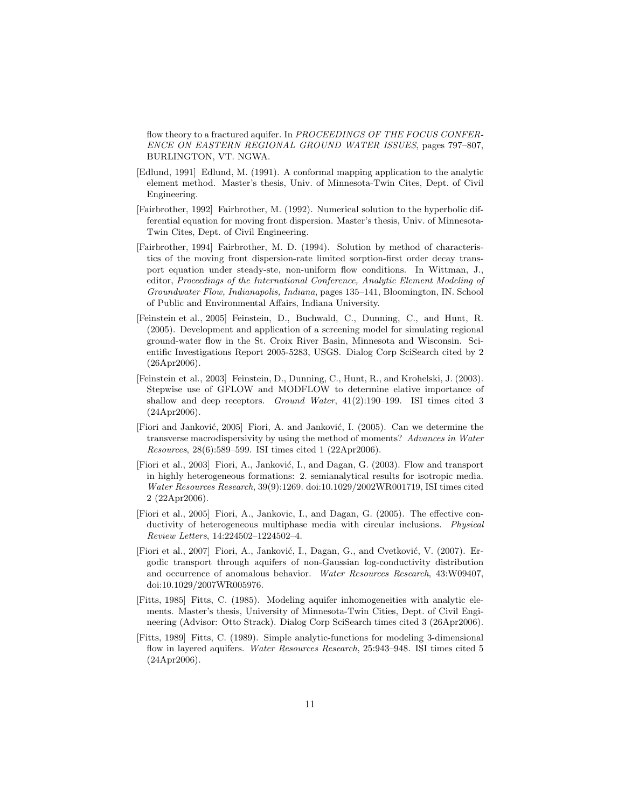flow theory to a fractured aquifer. In PROCEEDINGS OF THE FOCUS CONFER-ENCE ON EASTERN REGIONAL GROUND WATER ISSUES, pages 797–807, BURLINGTON, VT. NGWA.

- [Edlund, 1991] Edlund, M. (1991). A conformal mapping application to the analytic element method. Master's thesis, Univ. of Minnesota-Twin Cites, Dept. of Civil Engineering.
- [Fairbrother, 1992] Fairbrother, M. (1992). Numerical solution to the hyperbolic differential equation for moving front dispersion. Master's thesis, Univ. of Minnesota-Twin Cites, Dept. of Civil Engineering.
- [Fairbrother, 1994] Fairbrother, M. D. (1994). Solution by method of characteristics of the moving front dispersion-rate limited sorption-first order decay transport equation under steady-ste, non-uniform flow conditions. In Wittman, J., editor, Proceedings of the International Conference, Analytic Element Modeling of Groundwater Flow, Indianapolis, Indiana, pages 135–141, Bloomington, IN. School of Public and Environmental Affairs, Indiana University.
- [Feinstein et al., 2005] Feinstein, D., Buchwald, C., Dunning, C., and Hunt, R. (2005). Development and application of a screening model for simulating regional ground-water flow in the St. Croix River Basin, Minnesota and Wisconsin. Scientific Investigations Report 2005-5283, USGS. Dialog Corp SciSearch cited by 2 (26Apr2006).
- [Feinstein et al., 2003] Feinstein, D., Dunning, C., Hunt, R., and Krohelski, J. (2003). Stepwise use of GFLOW and MODFLOW to determine elative importance of shallow and deep receptors. Ground Water, 41(2):190–199. ISI times cited 3 (24Apr2006).
- [Fiori and Janković, 2005] Fiori, A. and Janković, I. (2005). Can we determine the transverse macrodispersivity by using the method of moments? Advances in Water Resources, 28(6):589–599. ISI times cited 1 (22Apr2006).
- [Fiori et al., 2003] Fiori, A., Janković, I., and Dagan, G. (2003). Flow and transport in highly heterogeneous formations: 2. semianalytical results for isotropic media. Water Resources Research, 39(9):1269. doi:10.1029/2002WR001719, ISI times cited 2 (22Apr2006).
- [Fiori et al., 2005] Fiori, A., Jankovic, I., and Dagan, G. (2005). The effective conductivity of heterogeneous multiphase media with circular inclusions. Physical Review Letters, 14:224502–1224502–4.
- [Fiori et al., 2007] Fiori, A., Janković, I., Dagan, G., and Cvetković, V. (2007). Ergodic transport through aquifers of non-Gaussian log-conductivity distribution and occurrence of anomalous behavior. Water Resources Research, 43:W09407, doi:10.1029/2007WR005976.
- [Fitts, 1985] Fitts, C. (1985). Modeling aquifer inhomogeneities with analytic elements. Master's thesis, University of Minnesota-Twin Cities, Dept. of Civil Engineering (Advisor: Otto Strack). Dialog Corp SciSearch times cited 3 (26Apr2006).
- [Fitts, 1989] Fitts, C. (1989). Simple analytic-functions for modeling 3-dimensional flow in layered aquifers. Water Resources Research, 25:943-948. ISI times cited 5 (24Apr2006).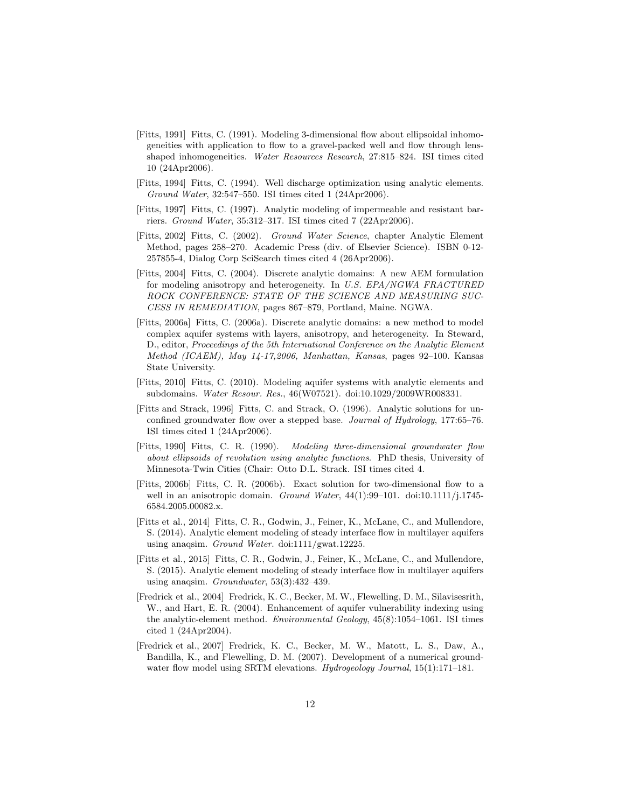- [Fitts, 1991] Fitts, C. (1991). Modeling 3-dimensional flow about ellipsoidal inhomogeneities with application to flow to a gravel-packed well and flow through lensshaped inhomogeneities. Water Resources Research, 27:815–824. ISI times cited 10 (24Apr2006).
- [Fitts, 1994] Fitts, C. (1994). Well discharge optimization using analytic elements. Ground Water, 32:547–550. ISI times cited 1 (24Apr2006).
- [Fitts, 1997] Fitts, C. (1997). Analytic modeling of impermeable and resistant barriers. Ground Water, 35:312–317. ISI times cited 7 (22Apr2006).
- [Fitts, 2002] Fitts, C. (2002). Ground Water Science, chapter Analytic Element Method, pages 258–270. Academic Press (div. of Elsevier Science). ISBN 0-12- 257855-4, Dialog Corp SciSearch times cited 4 (26Apr2006).
- [Fitts, 2004] Fitts, C. (2004). Discrete analytic domains: A new AEM formulation for modeling anisotropy and heterogeneity. In U.S. EPA/NGWA FRACTURED ROCK CONFERENCE: STATE OF THE SCIENCE AND MEASURING SUC-CESS IN REMEDIATION, pages 867–879, Portland, Maine. NGWA.
- [Fitts, 2006a] Fitts, C. (2006a). Discrete analytic domains: a new method to model complex aquifer systems with layers, anisotropy, and heterogeneity. In Steward, D., editor, Proceedings of the 5th International Conference on the Analytic Element Method (ICAEM), May 14-17,2006, Manhattan, Kansas, pages 92–100. Kansas State University.
- [Fitts, 2010] Fitts, C. (2010). Modeling aquifer systems with analytic elements and subdomains. Water Resour. Res., 46(W07521). doi:10.1029/2009WR008331.
- [Fitts and Strack, 1996] Fitts, C. and Strack, O. (1996). Analytic solutions for unconfined groundwater flow over a stepped base. Journal of Hydrology, 177:65–76. ISI times cited 1 (24Apr2006).
- [Fitts, 1990] Fitts, C. R. (1990). Modeling three-dimensional groundwater flow about ellipsoids of revolution using analytic functions. PhD thesis, University of Minnesota-Twin Cities (Chair: Otto D.L. Strack. ISI times cited 4.
- [Fitts, 2006b] Fitts, C. R. (2006b). Exact solution for two-dimensional flow to a well in an anisotropic domain. Ground Water,  $44(1):99-101$ . doi:10.1111/j.1745-6584.2005.00082.x.
- [Fitts et al., 2014] Fitts, C. R., Godwin, J., Feiner, K., McLane, C., and Mullendore, S. (2014). Analytic element modeling of steady interface flow in multilayer aquifers using anaqsim. Ground Water. doi:1111/gwat.12225.
- [Fitts et al., 2015] Fitts, C. R., Godwin, J., Feiner, K., McLane, C., and Mullendore, S. (2015). Analytic element modeling of steady interface flow in multilayer aquifers using anaqsim. Groundwater,  $53(3):432-439$ .
- [Fredrick et al., 2004] Fredrick, K. C., Becker, M. W., Flewelling, D. M., Silavisesrith, W., and Hart, E. R. (2004). Enhancement of aquifer vulnerability indexing using the analytic-element method. Environmental Geology, 45(8):1054–1061. ISI times cited 1 (24Apr2004).
- [Fredrick et al., 2007] Fredrick, K. C., Becker, M. W., Matott, L. S., Daw, A., Bandilla, K., and Flewelling, D. M. (2007). Development of a numerical groundwater flow model using SRTM elevations. Hydrogeology Journal, 15(1):171-181.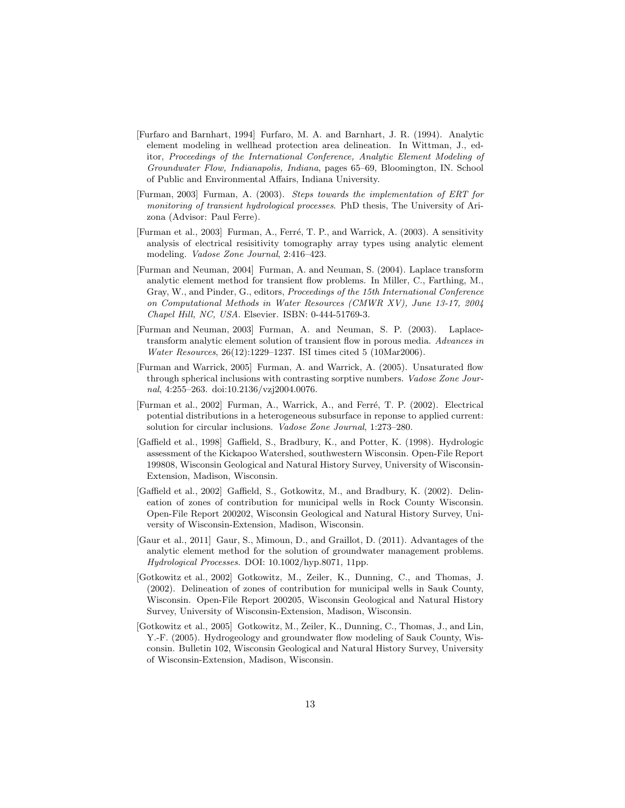- [Furfaro and Barnhart, 1994] Furfaro, M. A. and Barnhart, J. R. (1994). Analytic element modeling in wellhead protection area delineation. In Wittman, J., editor, Proceedings of the International Conference, Analytic Element Modeling of Groundwater Flow, Indianapolis, Indiana, pages 65–69, Bloomington, IN. School of Public and Environmental Affairs, Indiana University.
- [Furman, 2003] Furman, A. (2003). Steps towards the implementation of ERT for monitoring of transient hydrological processes. PhD thesis, The University of Arizona (Advisor: Paul Ferre).
- [Furman et al., 2003] Furman, A., Ferré, T. P., and Warrick, A. (2003). A sensitivity analysis of electrical resisitivity tomography array types using analytic element modeling. Vadose Zone Journal, 2:416–423.
- [Furman and Neuman, 2004] Furman, A. and Neuman, S. (2004). Laplace transform analytic element method for transient flow problems. In Miller, C., Farthing, M., Gray, W., and Pinder, G., editors, Proceedings of the 15th International Conference on Computational Methods in Water Resources (CMWR XV), June 13-17, 2004 Chapel Hill, NC, USA. Elsevier. ISBN: 0-444-51769-3.
- [Furman and Neuman, 2003] Furman, A. and Neuman, S. P. (2003). Laplacetransform analytic element solution of transient flow in porous media. Advances in Water Resources, 26(12):1229–1237. ISI times cited 5 (10Mar2006).
- [Furman and Warrick, 2005] Furman, A. and Warrick, A. (2005). Unsaturated flow through spherical inclusions with contrasting sorptive numbers. Vadose Zone Journal, 4:255–263. doi:10.2136/vzj2004.0076.
- [Furman et al., 2002] Furman, A., Warrick, A., and Ferré, T. P. (2002). Electrical potential distributions in a heterogeneous subsurface in reponse to applied current: solution for circular inclusions. Vadose Zone Journal, 1:273–280.
- [Gaffield et al., 1998] Gaffield, S., Bradbury, K., and Potter, K. (1998). Hydrologic assessment of the Kickapoo Watershed, southwestern Wisconsin. Open-File Report 199808, Wisconsin Geological and Natural History Survey, University of Wisconsin-Extension, Madison, Wisconsin.
- [Gaffield et al., 2002] Gaffield, S., Gotkowitz, M., and Bradbury, K. (2002). Delineation of zones of contribution for municipal wells in Rock County Wisconsin. Open-File Report 200202, Wisconsin Geological and Natural History Survey, University of Wisconsin-Extension, Madison, Wisconsin.
- [Gaur et al., 2011] Gaur, S., Mimoun, D., and Graillot, D. (2011). Advantages of the analytic element method for the solution of groundwater management problems. Hydrological Processes. DOI: 10.1002/hyp.8071, 11pp.
- [Gotkowitz et al., 2002] Gotkowitz, M., Zeiler, K., Dunning, C., and Thomas, J. (2002). Delineation of zones of contribution for municipal wells in Sauk County, Wisconsin. Open-File Report 200205, Wisconsin Geological and Natural History Survey, University of Wisconsin-Extension, Madison, Wisconsin.
- [Gotkowitz et al., 2005] Gotkowitz, M., Zeiler, K., Dunning, C., Thomas, J., and Lin, Y.-F. (2005). Hydrogeology and groundwater flow modeling of Sauk County, Wisconsin. Bulletin 102, Wisconsin Geological and Natural History Survey, University of Wisconsin-Extension, Madison, Wisconsin.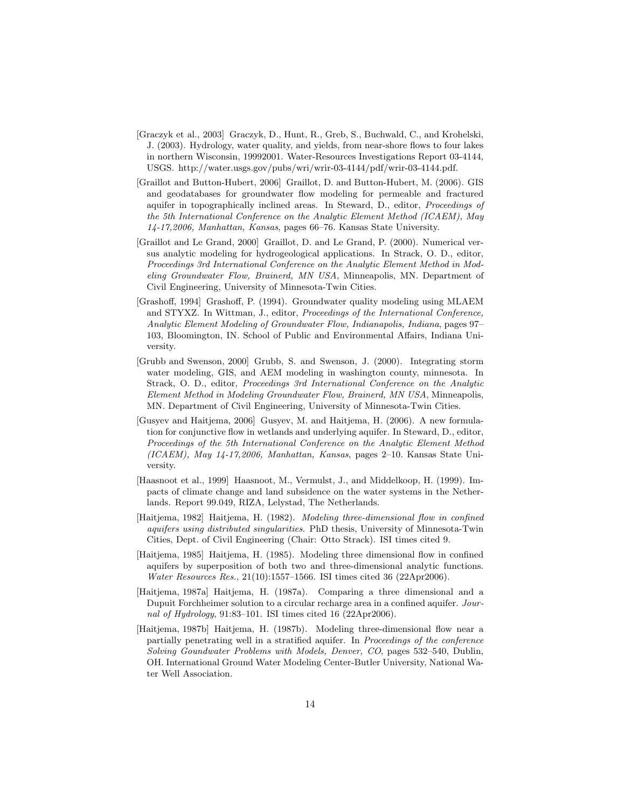- [Graczyk et al., 2003] Graczyk, D., Hunt, R., Greb, S., Buchwald, C., and Krohelski, J. (2003). Hydrology, water quality, and yields, from near-shore flows to four lakes in northern Wisconsin, 19992001. Water-Resources Investigations Report 03-4144, USGS. http://water.usgs.gov/pubs/wri/wrir-03-4144/pdf/wrir-03-4144.pdf.
- [Graillot and Button-Hubert, 2006] Graillot, D. and Button-Hubert, M. (2006). GIS and geodatabases for groundwater flow modeling for permeable and fractured aquifer in topographically inclined areas. In Steward, D., editor, Proceedings of the 5th International Conference on the Analytic Element Method (ICAEM), May 14-17,2006, Manhattan, Kansas, pages 66–76. Kansas State University.
- [Graillot and Le Grand, 2000] Graillot, D. and Le Grand, P. (2000). Numerical versus analytic modeling for hydrogeological applications. In Strack, O. D., editor, Proceedings 3rd International Conference on the Analytic Element Method in Modeling Groundwater Flow, Brainerd, MN USA, Minneapolis, MN. Department of Civil Engineering, University of Minnesota-Twin Cities.
- [Grashoff, 1994] Grashoff, P. (1994). Groundwater quality modeling using MLAEM and STYXZ. In Wittman, J., editor, Proceedings of the International Conference, Analytic Element Modeling of Groundwater Flow, Indianapolis, Indiana, pages 97– 103, Bloomington, IN. School of Public and Environmental Affairs, Indiana University.
- [Grubb and Swenson, 2000] Grubb, S. and Swenson, J. (2000). Integrating storm water modeling, GIS, and AEM modeling in washington county, minnesota. In Strack, O. D., editor, Proceedings 3rd International Conference on the Analytic Element Method in Modeling Groundwater Flow, Brainerd, MN USA, Minneapolis, MN. Department of Civil Engineering, University of Minnesota-Twin Cities.
- [Gusyev and Haitjema, 2006] Gusyev, M. and Haitjema, H. (2006). A new formulation for conjunctive flow in wetlands and underlying aquifer. In Steward, D., editor, Proceedings of the 5th International Conference on the Analytic Element Method (ICAEM), May 14-17,2006, Manhattan, Kansas, pages 2–10. Kansas State University.
- [Haasnoot et al., 1999] Haasnoot, M., Vermulst, J., and Middelkoop, H. (1999). Impacts of climate change and land subsidence on the water systems in the Netherlands. Report 99.049, RIZA, Lelystad, The Netherlands.
- [Haitjema, 1982] Haitjema, H. (1982). Modeling three-dimensional flow in confined aquifers using distributed singularities. PhD thesis, University of Minnesota-Twin Cities, Dept. of Civil Engineering (Chair: Otto Strack). ISI times cited 9.
- [Haitjema, 1985] Haitjema, H. (1985). Modeling three dimensional flow in confined aquifers by superposition of both two and three-dimensional analytic functions. Water Resources Res., 21(10):1557–1566. ISI times cited 36 (22Apr2006).
- [Haitjema, 1987a] Haitjema, H. (1987a). Comparing a three dimensional and a Dupuit Forchheimer solution to a circular recharge area in a confined aquifer. Journal of Hydrology,  $91:83-101$ . ISI times cited 16 (22Apr2006).
- [Haitjema, 1987b] Haitjema, H. (1987b). Modeling three-dimensional flow near a partially penetrating well in a stratified aquifer. In Proceedings of the conference Solving Goundwater Problems with Models, Denver, CO, pages 532–540, Dublin, OH. International Ground Water Modeling Center-Butler University, National Water Well Association.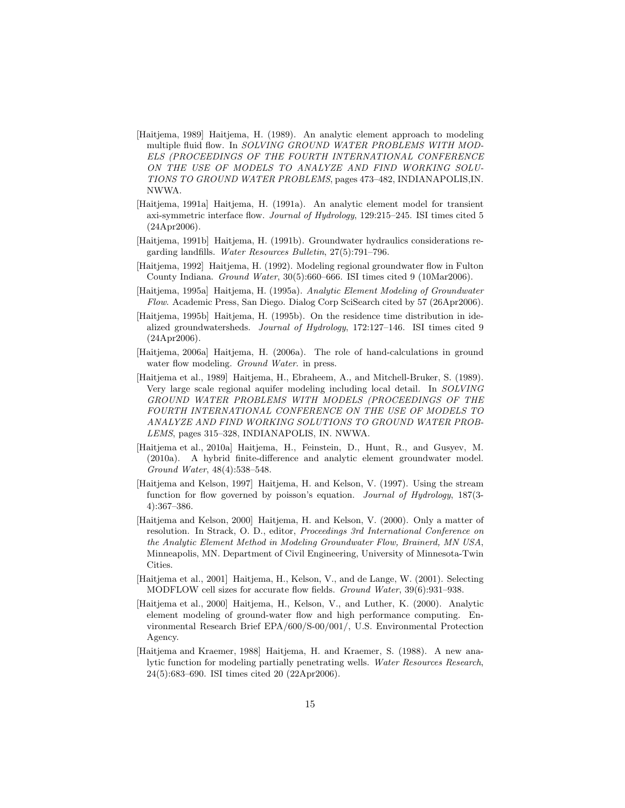- [Haitjema, 1989] Haitjema, H. (1989). An analytic element approach to modeling multiple fluid flow. In SOLVING GROUND WATER PROBLEMS WITH MOD-ELS (PROCEEDINGS OF THE FOURTH INTERNATIONAL CONFERENCE ON THE USE OF MODELS TO ANALYZE AND FIND WORKING SOLU-TIONS TO GROUND WATER PROBLEMS, pages 473–482, INDIANAPOLIS,IN. NWWA.
- [Haitjema, 1991a] Haitjema, H. (1991a). An analytic element model for transient axi-symmetric interface flow. Journal of Hydrology, 129:215–245. ISI times cited 5 (24Apr2006).
- [Haitjema, 1991b] Haitjema, H. (1991b). Groundwater hydraulics considerations regarding landfills. Water Resources Bulletin, 27(5):791–796.
- [Haitjema, 1992] Haitjema, H. (1992). Modeling regional groundwater flow in Fulton County Indiana. Ground Water, 30(5):660–666. ISI times cited 9 (10Mar2006).
- [Haitjema, 1995a] Haitjema, H. (1995a). Analytic Element Modeling of Groundwater Flow. Academic Press, San Diego. Dialog Corp SciSearch cited by 57 (26Apr2006).
- [Haitjema, 1995b] Haitjema, H. (1995b). On the residence time distribution in idealized groundwatersheds. Journal of Hydrology, 172:127–146. ISI times cited 9 (24Apr2006).
- [Haitjema, 2006a] Haitjema, H. (2006a). The role of hand-calculations in ground water flow modeling. *Ground Water*. in press.
- [Haitjema et al., 1989] Haitjema, H., Ebraheem, A., and Mitchell-Bruker, S. (1989). Very large scale regional aquifer modeling including local detail. In SOLVING GROUND WATER PROBLEMS WITH MODELS (PROCEEDINGS OF THE FOURTH INTERNATIONAL CONFERENCE ON THE USE OF MODELS TO ANALYZE AND FIND WORKING SOLUTIONS TO GROUND WATER PROB-LEMS, pages 315–328, INDIANAPOLIS, IN. NWWA.
- [Haitjema et al., 2010a] Haitjema, H., Feinstein, D., Hunt, R., and Gusyev, M. (2010a). A hybrid finite-difference and analytic element groundwater model. Ground Water, 48(4):538–548.
- [Haitjema and Kelson, 1997] Haitjema, H. and Kelson, V. (1997). Using the stream function for flow governed by poisson's equation. Journal of Hydrology, 187(3- 4):367–386.
- [Haitjema and Kelson, 2000] Haitjema, H. and Kelson, V. (2000). Only a matter of resolution. In Strack, O. D., editor, Proceedings 3rd International Conference on the Analytic Element Method in Modeling Groundwater Flow, Brainerd, MN USA, Minneapolis, MN. Department of Civil Engineering, University of Minnesota-Twin Cities.
- [Haitjema et al., 2001] Haitjema, H., Kelson, V., and de Lange, W. (2001). Selecting MODFLOW cell sizes for accurate flow fields. Ground Water, 39(6):931–938.
- [Haitjema et al., 2000] Haitjema, H., Kelson, V., and Luther, K. (2000). Analytic element modeling of ground-water flow and high performance computing. Environmental Research Brief EPA/600/S-00/001/, U.S. Environmental Protection Agency.
- [Haitjema and Kraemer, 1988] Haitjema, H. and Kraemer, S. (1988). A new analytic function for modeling partially penetrating wells. Water Resources Research, 24(5):683–690. ISI times cited 20 (22Apr2006).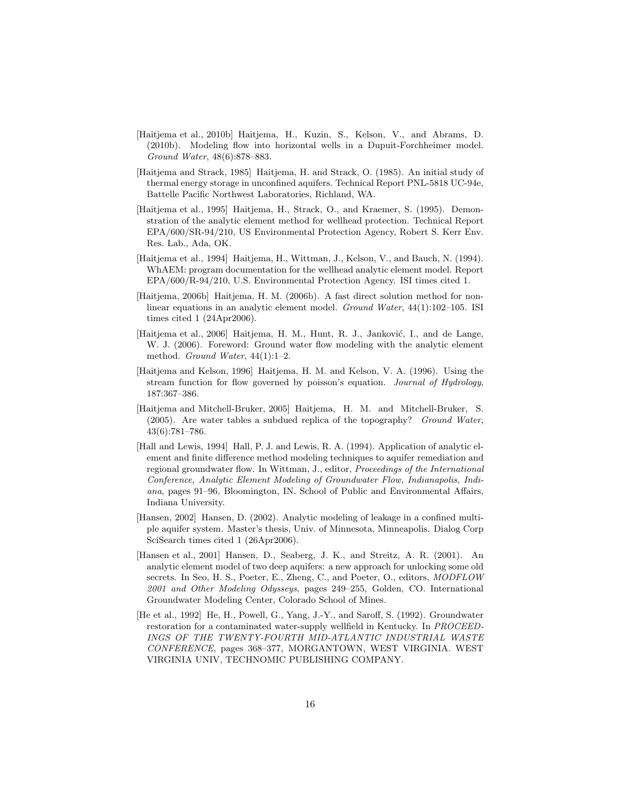- [Haitjema et al., 2010b] Haitjema, H., Kuzin, S., Kelson, V., and Abrams, D. (2010b). Modeling flow into horizontal wells in a Dupuit-Forchheimer model. Ground Water, 48(6):878–883.
- [Haitjema and Strack, 1985] Haitjema, H. and Strack, O. (1985). An initial study of thermal energy storage in unconfined aquifers. Technical Report PNL-5818 UC-94e, Battelle Pacific Northwest Laboratories, Richland, WA.
- [Haitjema et al., 1995] Haitjema, H., Strack, O., and Kraemer, S. (1995). Demonstration of the analytic element method for wellhead protection. Technical Report EPA/600/SR-94/210, US Environmental Protection Agency, Robert S. Kerr Env. Res. Lab., Ada, OK.
- [Haitjema et al., 1994] Haitjema, H., Wittman, J., Kelson, V., and Bauch, N. (1994). WhAEM: program documentation for the wellhead analytic element model. Report EPA/600/R-94/210, U.S. Environmental Protection Agency. ISI times cited 1.
- [Haitjema, 2006b] Haitjema, H. M. (2006b). A fast direct solution method for nonlinear equations in an analytic element model. Ground Water, 44(1):102-105. ISI times cited 1 (24Apr2006).
- [Haitjema et al., 2006] Haitjema, H. M., Hunt, R. J., Janković, I., and de Lange, W. J. (2006). Foreword: Ground water flow modeling with the analytic element method. Ground Water, 44(1):1–2.
- [Haitjema and Kelson, 1996] Haitjema, H. M. and Kelson, V. A. (1996). Using the stream function for flow governed by poisson's equation. Journal of Hydrology, 187:367–386.
- [Haitjema and Mitchell-Bruker, 2005] Haitjema, H. M. and Mitchell-Bruker, S. (2005). Are water tables a subdued replica of the topography? Ground Water, 43(6):781–786.
- [Hall and Lewis, 1994] Hall, P. J. and Lewis, R. A. (1994). Application of analytic element and finite difference method modeling techniques to aquifer remediation and regional groundwater flow. In Wittman, J., editor, Proceedings of the International Conference, Analytic Element Modeling of Groundwater Flow, Indianapolis, Indiana, pages 91–96, Bloomington, IN. School of Public and Environmental Affairs, Indiana University.
- [Hansen, 2002] Hansen, D. (2002). Analytic modeling of leakage in a confined multiple aquifer system. Master's thesis, Univ. of Minnesota, Minneapolis. Dialog Corp SciSearch times cited 1 (26Apr2006).
- [Hansen et al., 2001] Hansen, D., Seaberg, J. K., and Streitz, A. R. (2001). An analytic element model of two deep aquifers: a new approach for unlocking some old secrets. In Seo, H. S., Poeter, E., Zheng, C., and Poeter, O., editors, MODFLOW 2001 and Other Modeling Odysseys, pages 249–255, Golden, CO. International Groundwater Modeling Center, Colorado School of Mines.
- [He et al., 1992] He, H., Powell, G., Yang, J.-Y., and Saroff, S. (1992). Groundwater restoration for a contaminated water-supply wellfield in Kentucky. In PROCEED-INGS OF THE TWENTY-FOURTH MID-ATLANTIC INDUSTRIAL WASTE CONFERENCE, pages 368–377, MORGANTOWN, WEST VIRGINIA. WEST VIRGINIA UNIV, TECHNOMIC PUBLISHING COMPANY.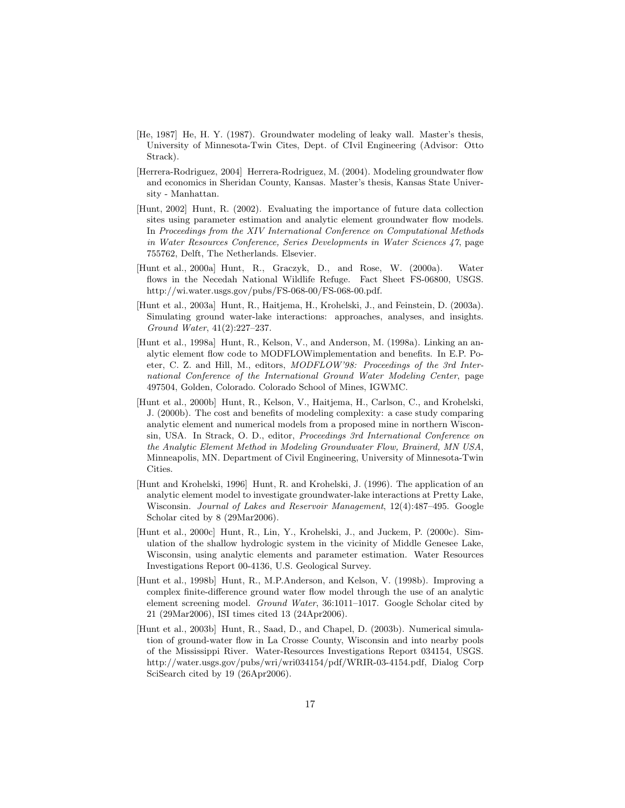- [He, 1987] He, H. Y. (1987). Groundwater modeling of leaky wall. Master's thesis, University of Minnesota-Twin Cites, Dept. of CIvil Engineering (Advisor: Otto Strack).
- [Herrera-Rodriguez, 2004] Herrera-Rodriguez, M. (2004). Modeling groundwater flow and economics in Sheridan County, Kansas. Master's thesis, Kansas State University - Manhattan.
- [Hunt, 2002] Hunt, R. (2002). Evaluating the importance of future data collection sites using parameter estimation and analytic element groundwater flow models. In Proceedings from the XIV International Conference on Computational Methods in Water Resources Conference, Series Developments in Water Sciences 47, page 755762, Delft, The Netherlands. Elsevier.
- [Hunt et al., 2000a] Hunt, R., Graczyk, D., and Rose, W. (2000a). Water flows in the Necedah National Wildlife Refuge. Fact Sheet FS-06800, USGS. http://wi.water.usgs.gov/pubs/FS-068-00/FS-068-00.pdf.
- [Hunt et al., 2003a] Hunt, R., Haitjema, H., Krohelski, J., and Feinstein, D. (2003a). Simulating ground water-lake interactions: approaches, analyses, and insights. Ground Water, 41(2):227–237.
- [Hunt et al., 1998a] Hunt, R., Kelson, V., and Anderson, M. (1998a). Linking an analytic element flow code to MODFLOWimplementation and benefits. In E.P. Poeter, C. Z. and Hill, M., editors, MODFLOW'98: Proceedings of the 3rd International Conference of the International Ground Water Modeling Center, page 497504, Golden, Colorado. Colorado School of Mines, IGWMC.
- [Hunt et al., 2000b] Hunt, R., Kelson, V., Haitjema, H., Carlson, C., and Krohelski, J. (2000b). The cost and benefits of modeling complexity: a case study comparing analytic element and numerical models from a proposed mine in northern Wisconsin, USA. In Strack, O. D., editor, Proceedings 3rd International Conference on the Analytic Element Method in Modeling Groundwater Flow, Brainerd, MN USA, Minneapolis, MN. Department of Civil Engineering, University of Minnesota-Twin Cities.
- [Hunt and Krohelski, 1996] Hunt, R. and Krohelski, J. (1996). The application of an analytic element model to investigate groundwater-lake interactions at Pretty Lake, Wisconsin. Journal of Lakes and Reservoir Management, 12(4):487-495. Google Scholar cited by 8 (29Mar2006).
- [Hunt et al., 2000c] Hunt, R., Lin, Y., Krohelski, J., and Juckem, P. (2000c). Simulation of the shallow hydrologic system in the vicinity of Middle Genesee Lake, Wisconsin, using analytic elements and parameter estimation. Water Resources Investigations Report 00-4136, U.S. Geological Survey.
- [Hunt et al., 1998b] Hunt, R., M.P.Anderson, and Kelson, V. (1998b). Improving a complex finite-difference ground water flow model through the use of an analytic element screening model. Ground Water, 36:1011–1017. Google Scholar cited by 21 (29Mar2006), ISI times cited 13 (24Apr2006).
- [Hunt et al., 2003b] Hunt, R., Saad, D., and Chapel, D. (2003b). Numerical simulation of ground-water flow in La Crosse County, Wisconsin and into nearby pools of the Mississippi River. Water-Resources Investigations Report 034154, USGS. http://water.usgs.gov/pubs/wri/wri034154/pdf/WRIR-03-4154.pdf, Dialog Corp SciSearch cited by 19 (26Apr2006).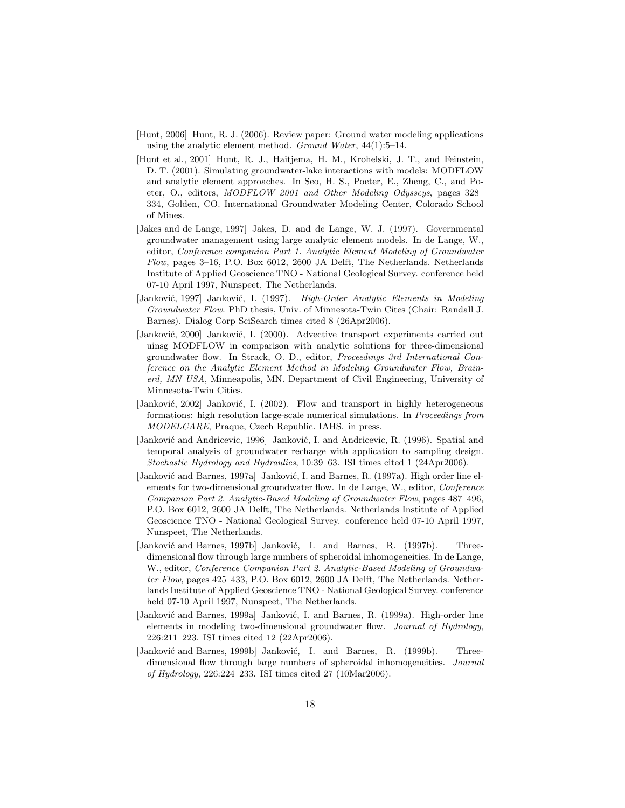- [Hunt, 2006] Hunt, R. J. (2006). Review paper: Ground water modeling applications using the analytic element method. Ground Water,  $44(1):5-14$ .
- [Hunt et al., 2001] Hunt, R. J., Haitjema, H. M., Krohelski, J. T., and Feinstein, D. T. (2001). Simulating groundwater-lake interactions with models: MODFLOW and analytic element approaches. In Seo, H. S., Poeter, E., Zheng, C., and Poeter, O., editors, MODFLOW 2001 and Other Modeling Odysseys, pages 328– 334, Golden, CO. International Groundwater Modeling Center, Colorado School of Mines.
- [Jakes and de Lange, 1997] Jakes, D. and de Lange, W. J. (1997). Governmental groundwater management using large analytic element models. In de Lange, W., editor, Conference companion Part 1. Analytic Element Modeling of Groundwater Flow, pages 3–16, P.O. Box 6012, 2600 JA Delft, The Netherlands. Netherlands Institute of Applied Geoscience TNO - National Geological Survey. conference held 07-10 April 1997, Nunspeet, The Netherlands.
- [Janković, 1997] Janković, I. (1997). High-Order Analytic Elements in Modeling Groundwater Flow. PhD thesis, Univ. of Minnesota-Twin Cites (Chair: Randall J. Barnes). Dialog Corp SciSearch times cited 8 (26Apr2006).
- [Janković, 2000] Janković, I. (2000). Advective transport experiments carried out uinsg MODFLOW in comparison with analytic solutions for three-dimensional groundwater flow. In Strack, O. D., editor, Proceedings 3rd International Conference on the Analytic Element Method in Modeling Groundwater Flow, Brainerd, MN USA, Minneapolis, MN. Department of Civil Engineering, University of Minnesota-Twin Cities.
- [Janković, 2002] Janković, I. (2002). Flow and transport in highly heterogeneous formations: high resolution large-scale numerical simulations. In *Proceedings from* MODELCARE, Praque, Czech Republic. IAHS. in press.
- [Janković and Andricevic, 1996] Janković, I. and Andricevic, R. (1996). Spatial and temporal analysis of groundwater recharge with application to sampling design. Stochastic Hydrology and Hydraulics, 10:39–63. ISI times cited 1 (24Apr2006).
- [Janković and Barnes, 1997a] Janković, I. and Barnes, R. (1997a). High order line elements for two-dimensional groundwater flow. In de Lange, W., editor, Conference Companion Part 2. Analytic-Based Modeling of Groundwater Flow, pages 487–496, P.O. Box 6012, 2600 JA Delft, The Netherlands. Netherlands Institute of Applied Geoscience TNO - National Geological Survey. conference held 07-10 April 1997, Nunspeet, The Netherlands.
- [Janković and Barnes, 1997b] Janković, I. and Barnes, R. (1997b). Threedimensional flow through large numbers of spheroidal inhomogeneities. In de Lange, W., editor, Conference Companion Part 2. Analytic-Based Modeling of Groundwater Flow, pages 425–433, P.O. Box 6012, 2600 JA Delft, The Netherlands. Netherlands Institute of Applied Geoscience TNO - National Geological Survey. conference held 07-10 April 1997, Nunspeet, The Netherlands.
- [Janković and Barnes, 1999a] Janković, I. and Barnes, R. (1999a). High-order line elements in modeling two-dimensional groundwater flow. Journal of Hydrology, 226:211–223. ISI times cited 12 (22Apr2006).
- [Janković and Barnes, 1999b] Janković, I. and Barnes, R. (1999b). Threedimensional flow through large numbers of spheroidal inhomogeneities. Journal of Hydrology, 226:224–233. ISI times cited 27 (10Mar2006).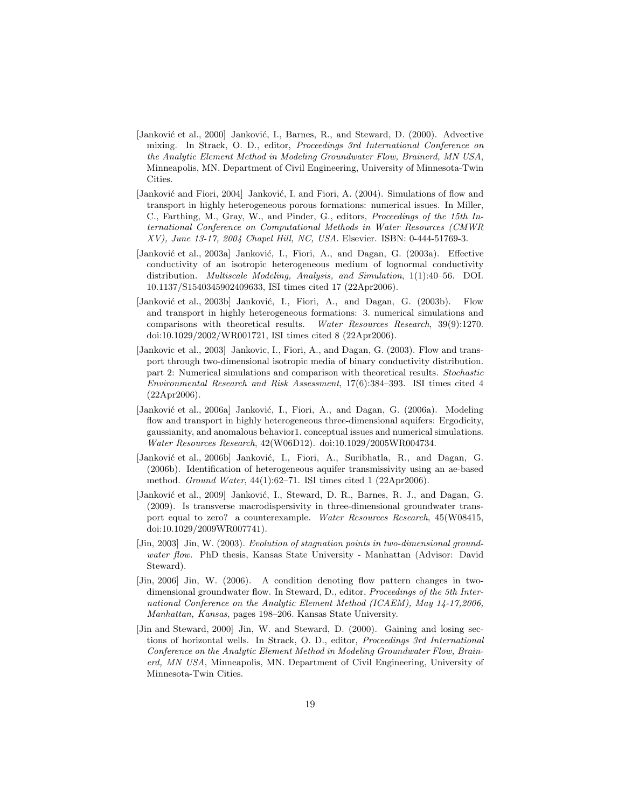- [Janković et al., 2000] Janković, I., Barnes, R., and Steward, D. (2000). Advective mixing. In Strack, O. D., editor, Proceedings 3rd International Conference on the Analytic Element Method in Modeling Groundwater Flow, Brainerd, MN USA, Minneapolis, MN. Department of Civil Engineering, University of Minnesota-Twin Cities.
- [Janković and Fiori, 2004] Janković, I. and Fiori, A. (2004). Simulations of flow and transport in highly heterogeneous porous formations: numerical issues. In Miller, C., Farthing, M., Gray, W., and Pinder, G., editors, Proceedings of the 15th International Conference on Computational Methods in Water Resources (CMWR XV), June 13-17, 2004 Chapel Hill, NC, USA. Elsevier. ISBN: 0-444-51769-3.
- [Janković et al., 2003a] Janković, I., Fiori, A., and Dagan, G. (2003a). Effective conductivity of an isotropic heterogeneous medium of lognormal conductivity distribution. Multiscale Modeling, Analysis, and Simulation, 1(1):40–56. DOI. 10.1137/S1540345902409633, ISI times cited 17 (22Apr2006).
- [Janković et al., 2003b] Janković, I., Fiori, A., and Dagan, G. (2003b). Flow and transport in highly heterogeneous formations: 3. numerical simulations and comparisons with theoretical results. Water Resources Research, 39(9):1270. doi:10.1029/2002/WR001721, ISI times cited 8 (22Apr2006).
- [Jankovic et al., 2003] Jankovic, I., Fiori, A., and Dagan, G. (2003). Flow and transport through two-dimensional isotropic media of binary conductivity distribution. part 2: Numerical simulations and comparison with theoretical results. Stochastic Environmental Research and Risk Assessment, 17(6):384–393. ISI times cited 4 (22Apr2006).
- [Janković et al., 2006a] Janković, I., Fiori, A., and Dagan, G. (2006a). Modeling flow and transport in highly heterogeneous three-dimensional aquifers: Ergodicity, gaussianity, and anomalous behavior1. conceptual issues and numerical simulations. Water Resources Research, 42(W06D12). doi:10.1029/2005WR004734.
- [Janković et al., 2006b] Janković, I., Fiori, A., Suribhatla, R., and Dagan, G. (2006b). Identification of heterogeneous aquifer transmissivity using an ae-based method. Ground Water, 44(1):62–71. ISI times cited 1 (22Apr2006).
- [Janković et al., 2009] Janković, I., Steward, D. R., Barnes, R. J., and Dagan, G. (2009). Is transverse macrodispersivity in three-dimensional groundwater transport equal to zero? a counterexample. Water Resources Research, 45(W08415, doi:10.1029/2009WR007741).
- [Jin, 2003] Jin, W. (2003). Evolution of stagnation points in two-dimensional groundwater flow. PhD thesis, Kansas State University - Manhattan (Advisor: David Steward).
- [Jin, 2006] Jin, W. (2006). A condition denoting flow pattern changes in twodimensional groundwater flow. In Steward, D., editor, Proceedings of the 5th International Conference on the Analytic Element Method (ICAEM), May 14-17,2006, Manhattan, Kansas, pages 198–206. Kansas State University.
- [Jin and Steward, 2000] Jin, W. and Steward, D. (2000). Gaining and losing sections of horizontal wells. In Strack, O. D., editor, Proceedings 3rd International Conference on the Analytic Element Method in Modeling Groundwater Flow, Brainerd, MN USA, Minneapolis, MN. Department of Civil Engineering, University of Minnesota-Twin Cities.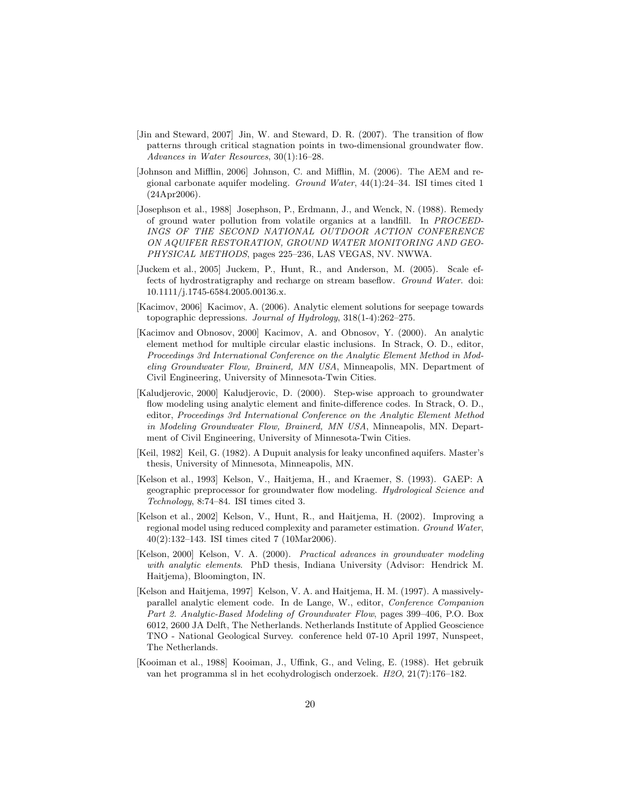- [Jin and Steward, 2007] Jin, W. and Steward, D. R. (2007). The transition of flow patterns through critical stagnation points in two-dimensional groundwater flow. Advances in Water Resources, 30(1):16–28.
- [Johnson and Mifflin, 2006] Johnson, C. and Mifflin, M. (2006). The AEM and regional carbonate aquifer modeling. Ground Water, 44(1):24–34. ISI times cited 1 (24Apr2006).
- [Josephson et al., 1988] Josephson, P., Erdmann, J., and Wenck, N. (1988). Remedy of ground water pollution from volatile organics at a landfill. In PROCEED-INGS OF THE SECOND NATIONAL OUTDOOR ACTION CONFERENCE ON AQUIFER RESTORATION, GROUND WATER MONITORING AND GEO-PHYSICAL METHODS, pages 225–236, LAS VEGAS, NV. NWWA.
- [Juckem et al., 2005] Juckem, P., Hunt, R., and Anderson, M. (2005). Scale effects of hydrostratigraphy and recharge on stream baseflow. Ground Water. doi: 10.1111/j.1745-6584.2005.00136.x.
- [Kacimov, 2006] Kacimov, A. (2006). Analytic element solutions for seepage towards topographic depressions. Journal of Hydrology,  $318(1-4):262-275$ .
- [Kacimov and Obnosov, 2000] Kacimov, A. and Obnosov, Y. (2000). An analytic element method for multiple circular elastic inclusions. In Strack, O. D., editor, Proceedings 3rd International Conference on the Analytic Element Method in Modeling Groundwater Flow, Brainerd, MN USA, Minneapolis, MN. Department of Civil Engineering, University of Minnesota-Twin Cities.
- [Kaludjerovic, 2000] Kaludjerovic, D. (2000). Step-wise approach to groundwater flow modeling using analytic element and finite-difference codes. In Strack, O. D., editor, Proceedings 3rd International Conference on the Analytic Element Method in Modeling Groundwater Flow, Brainerd, MN USA, Minneapolis, MN. Department of Civil Engineering, University of Minnesota-Twin Cities.
- [Keil, 1982] Keil, G. (1982). A Dupuit analysis for leaky unconfined aquifers. Master's thesis, University of Minnesota, Minneapolis, MN.
- [Kelson et al., 1993] Kelson, V., Haitjema, H., and Kraemer, S. (1993). GAEP: A geographic preprocessor for groundwater flow modeling. Hydrological Science and Technology, 8:74–84. ISI times cited 3.
- [Kelson et al., 2002] Kelson, V., Hunt, R., and Haitjema, H. (2002). Improving a regional model using reduced complexity and parameter estimation. Ground Water, 40(2):132–143. ISI times cited 7 (10Mar2006).
- [Kelson, 2000] Kelson, V. A. (2000). Practical advances in groundwater modeling with analytic elements. PhD thesis, Indiana University (Advisor: Hendrick M. Haitjema), Bloomington, IN.
- [Kelson and Haitjema, 1997] Kelson, V. A. and Haitjema, H. M. (1997). A massivelyparallel analytic element code. In de Lange, W., editor, Conference Companion Part 2. Analytic-Based Modeling of Groundwater Flow, pages 399–406, P.O. Box 6012, 2600 JA Delft, The Netherlands. Netherlands Institute of Applied Geoscience TNO - National Geological Survey. conference held 07-10 April 1997, Nunspeet, The Netherlands.
- [Kooiman et al., 1988] Kooiman, J., Uffink, G., and Veling, E. (1988). Het gebruik van het programma sl in het ecohydrologisch onderzoek. H2O, 21(7):176–182.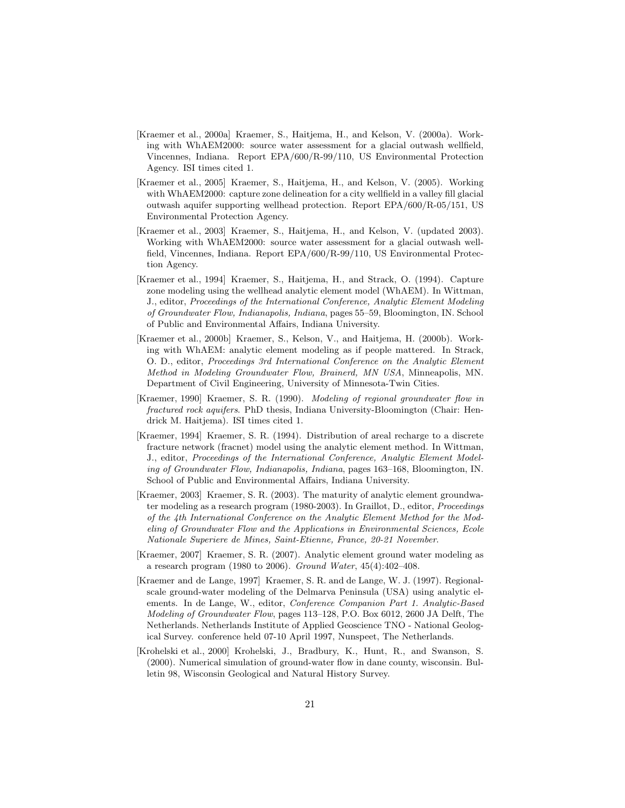- [Kraemer et al., 2000a] Kraemer, S., Haitjema, H., and Kelson, V. (2000a). Working with WhAEM2000: source water assessment for a glacial outwash wellfield, Vincennes, Indiana. Report EPA/600/R-99/110, US Environmental Protection Agency. ISI times cited 1.
- [Kraemer et al., 2005] Kraemer, S., Haitjema, H., and Kelson, V. (2005). Working with WhAEM2000: capture zone delineation for a city wellfield in a valley fill glacial outwash aquifer supporting wellhead protection. Report EPA/600/R-05/151, US Environmental Protection Agency.
- [Kraemer et al., 2003] Kraemer, S., Haitjema, H., and Kelson, V. (updated 2003). Working with WhAEM2000: source water assessment for a glacial outwash wellfield, Vincennes, Indiana. Report EPA/600/R-99/110, US Environmental Protection Agency.
- [Kraemer et al., 1994] Kraemer, S., Haitjema, H., and Strack, O. (1994). Capture zone modeling using the wellhead analytic element model (WhAEM). In Wittman, J., editor, Proceedings of the International Conference, Analytic Element Modeling of Groundwater Flow, Indianapolis, Indiana, pages 55–59, Bloomington, IN. School of Public and Environmental Affairs, Indiana University.
- [Kraemer et al., 2000b] Kraemer, S., Kelson, V., and Haitjema, H. (2000b). Working with WhAEM: analytic element modeling as if people mattered. In Strack, O. D., editor, Proceedings 3rd International Conference on the Analytic Element Method in Modeling Groundwater Flow, Brainerd, MN USA, Minneapolis, MN. Department of Civil Engineering, University of Minnesota-Twin Cities.
- [Kraemer, 1990] Kraemer, S. R. (1990). Modeling of regional groundwater flow in fractured rock aquifers. PhD thesis, Indiana University-Bloomington (Chair: Hendrick M. Haitjema). ISI times cited 1.
- [Kraemer, 1994] Kraemer, S. R. (1994). Distribution of areal recharge to a discrete fracture network (fracnet) model using the analytic element method. In Wittman, J., editor, Proceedings of the International Conference, Analytic Element Modeling of Groundwater Flow, Indianapolis, Indiana, pages 163–168, Bloomington, IN. School of Public and Environmental Affairs, Indiana University.
- [Kraemer, 2003] Kraemer, S. R. (2003). The maturity of analytic element groundwater modeling as a research program (1980-2003). In Graillot, D., editor, Proceedings of the 4th International Conference on the Analytic Element Method for the Modeling of Groundwater Flow and the Applications in Environmental Sciences, Ecole Nationale Superiere de Mines, Saint-Etienne, France, 20-21 November.
- [Kraemer, 2007] Kraemer, S. R. (2007). Analytic element ground water modeling as a research program (1980 to 2006). Ground Water, 45(4):402–408.
- [Kraemer and de Lange, 1997] Kraemer, S. R. and de Lange, W. J. (1997). Regionalscale ground-water modeling of the Delmarva Peninsula (USA) using analytic elements. In de Lange, W., editor, Conference Companion Part 1. Analytic-Based Modeling of Groundwater Flow, pages 113–128, P.O. Box 6012, 2600 JA Delft, The Netherlands. Netherlands Institute of Applied Geoscience TNO - National Geological Survey. conference held 07-10 April 1997, Nunspeet, The Netherlands.
- [Krohelski et al., 2000] Krohelski, J., Bradbury, K., Hunt, R., and Swanson, S. (2000). Numerical simulation of ground-water flow in dane county, wisconsin. Bulletin 98, Wisconsin Geological and Natural History Survey.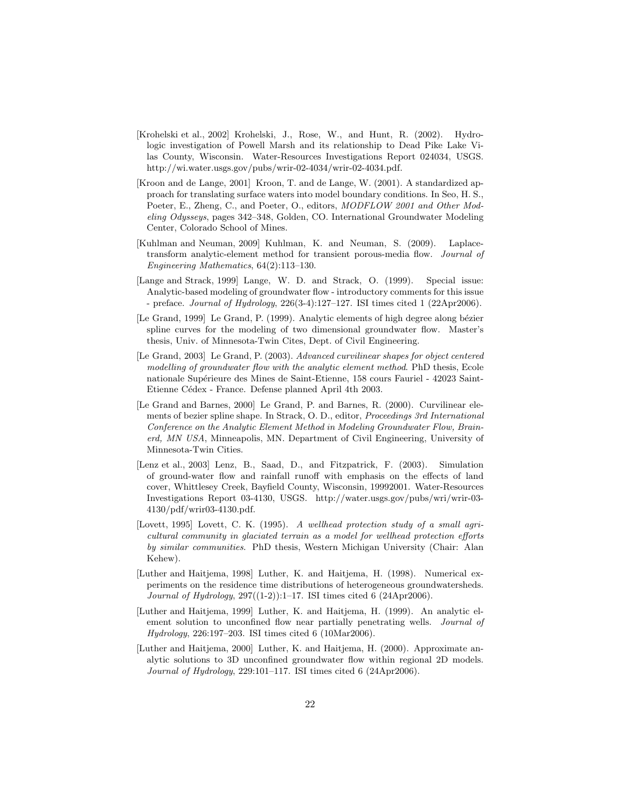- [Krohelski et al., 2002] Krohelski, J., Rose, W., and Hunt, R. (2002). Hydrologic investigation of Powell Marsh and its relationship to Dead Pike Lake Vilas County, Wisconsin. Water-Resources Investigations Report 024034, USGS. http://wi.water.usgs.gov/pubs/wrir-02-4034/wrir-02-4034.pdf.
- [Kroon and de Lange, 2001] Kroon, T. and de Lange, W. (2001). A standardized approach for translating surface waters into model boundary conditions. In Seo, H. S., Poeter, E., Zheng, C., and Poeter, O., editors, MODFLOW 2001 and Other Modeling Odysseys, pages 342–348, Golden, CO. International Groundwater Modeling Center, Colorado School of Mines.
- [Kuhlman and Neuman, 2009] Kuhlman, K. and Neuman, S. (2009). Laplacetransform analytic-element method for transient porous-media flow. Journal of Engineering Mathematics, 64(2):113–130.
- [Lange and Strack, 1999] Lange, W. D. and Strack, O. (1999). Special issue: Analytic-based modeling of groundwater flow - introductory comments for this issue - preface. Journal of Hydrology, 226(3-4):127–127. ISI times cited 1 (22Apr2006).
- [Le Grand, 1999] Le Grand, P. (1999). Analytic elements of high degree along bézier spline curves for the modeling of two dimensional groundwater flow. Master's thesis, Univ. of Minnesota-Twin Cites, Dept. of Civil Engineering.
- [Le Grand, 2003] Le Grand, P. (2003). Advanced curvilinear shapes for object centered modelling of groundwater flow with the analytic element method. PhD thesis, Ecole nationale Supérieure des Mines de Saint-Etienne, 158 cours Fauriel - 42023 Saint-Etienne Cédex - France. Defense planned April 4th 2003.
- [Le Grand and Barnes, 2000] Le Grand, P. and Barnes, R. (2000). Curvilinear elements of bezier spline shape. In Strack, O. D., editor, Proceedings 3rd International Conference on the Analytic Element Method in Modeling Groundwater Flow, Brainerd, MN USA, Minneapolis, MN. Department of Civil Engineering, University of Minnesota-Twin Cities.
- [Lenz et al., 2003] Lenz, B., Saad, D., and Fitzpatrick, F. (2003). Simulation of ground-water flow and rainfall runoff with emphasis on the effects of land cover, Whittlesey Creek, Bayfield County, Wisconsin, 19992001. Water-Resources Investigations Report 03-4130, USGS. http://water.usgs.gov/pubs/wri/wrir-03- 4130/pdf/wrir03-4130.pdf.
- [Lovett, 1995] Lovett, C. K. (1995). A wellhead protection study of a small agricultural community in glaciated terrain as a model for wellhead protection efforts by similar communities. PhD thesis, Western Michigan University (Chair: Alan Kehew).
- [Luther and Haitjema, 1998] Luther, K. and Haitjema, H. (1998). Numerical experiments on the residence time distributions of heterogeneous groundwatersheds. Journal of Hydrology, 297((1-2)):1–17. ISI times cited 6 (24Apr2006).
- [Luther and Haitjema, 1999] Luther, K. and Haitjema, H. (1999). An analytic element solution to unconfined flow near partially penetrating wells. *Journal of* Hydrology, 226:197–203. ISI times cited 6 (10Mar2006).
- [Luther and Haitjema, 2000] Luther, K. and Haitjema, H. (2000). Approximate analytic solutions to 3D unconfined groundwater flow within regional 2D models. Journal of Hydrology, 229:101–117. ISI times cited 6 (24Apr2006).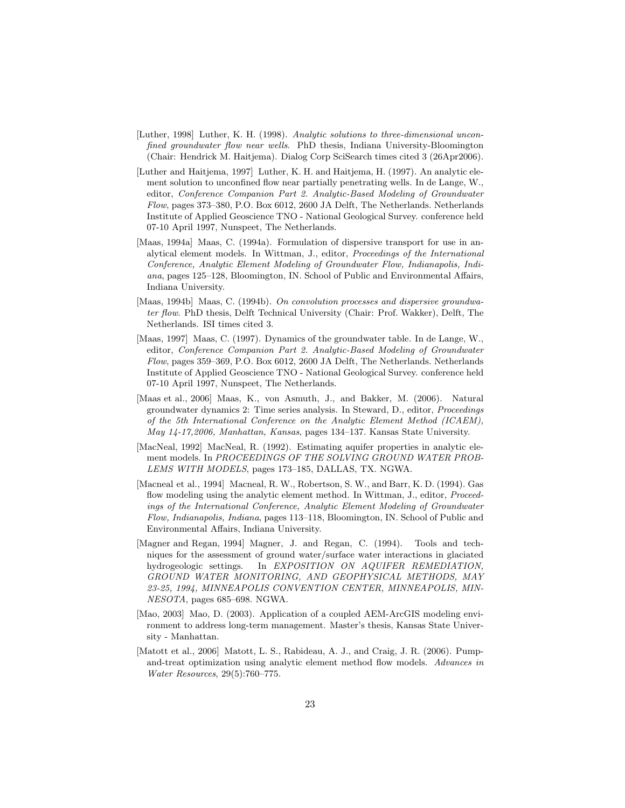- [Luther, 1998] Luther, K. H. (1998). Analytic solutions to three-dimensional unconfined groundwater flow near wells. PhD thesis, Indiana University-Bloomington (Chair: Hendrick M. Haitjema). Dialog Corp SciSearch times cited 3 (26Apr2006).
- [Luther and Haitjema, 1997] Luther, K. H. and Haitjema, H. (1997). An analytic element solution to unconfined flow near partially penetrating wells. In de Lange, W., editor, Conference Companion Part 2. Analytic-Based Modeling of Groundwater Flow, pages 373–380, P.O. Box 6012, 2600 JA Delft, The Netherlands. Netherlands Institute of Applied Geoscience TNO - National Geological Survey. conference held 07-10 April 1997, Nunspeet, The Netherlands.
- [Maas, 1994a] Maas, C. (1994a). Formulation of dispersive transport for use in analytical element models. In Wittman, J., editor, Proceedings of the International Conference, Analytic Element Modeling of Groundwater Flow, Indianapolis, Indiana, pages 125–128, Bloomington, IN. School of Public and Environmental Affairs, Indiana University.
- [Maas, 1994b] Maas, C. (1994b). On convolution processes and dispersive groundwater flow. PhD thesis, Delft Technical University (Chair: Prof. Wakker), Delft, The Netherlands. ISI times cited 3.
- [Maas, 1997] Maas, C. (1997). Dynamics of the groundwater table. In de Lange, W., editor, Conference Companion Part 2. Analytic-Based Modeling of Groundwater Flow, pages 359–369, P.O. Box 6012, 2600 JA Delft, The Netherlands. Netherlands Institute of Applied Geoscience TNO - National Geological Survey. conference held 07-10 April 1997, Nunspeet, The Netherlands.
- [Maas et al., 2006] Maas, K., von Asmuth, J., and Bakker, M. (2006). Natural groundwater dynamics 2: Time series analysis. In Steward, D., editor, Proceedings of the 5th International Conference on the Analytic Element Method (ICAEM), May 14-17,2006, Manhattan, Kansas, pages 134–137. Kansas State University.
- [MacNeal, 1992] MacNeal, R. (1992). Estimating aquifer properties in analytic element models. In PROCEEDINGS OF THE SOLVING GROUND WATER PROB-LEMS WITH MODELS, pages 173–185, DALLAS, TX. NGWA.
- [Macneal et al., 1994] Macneal, R. W., Robertson, S. W., and Barr, K. D. (1994). Gas flow modeling using the analytic element method. In Wittman, J., editor, *Proceed*ings of the International Conference, Analytic Element Modeling of Groundwater Flow, Indianapolis, Indiana, pages 113–118, Bloomington, IN. School of Public and Environmental Affairs, Indiana University.
- [Magner and Regan, 1994] Magner, J. and Regan, C. (1994). Tools and techniques for the assessment of ground water/surface water interactions in glaciated hydrogeologic settings. In EXPOSITION ON AQUIFER REMEDIATION, GROUND WATER MONITORING, AND GEOPHYSICAL METHODS, MAY 23-25, 1994, MINNEAPOLIS CONVENTION CENTER, MINNEAPOLIS, MIN-NESOTA, pages 685–698. NGWA.
- [Mao, 2003] Mao, D. (2003). Application of a coupled AEM-ArcGIS modeling environment to address long-term management. Master's thesis, Kansas State University - Manhattan.
- [Matott et al., 2006] Matott, L. S., Rabideau, A. J., and Craig, J. R. (2006). Pumpand-treat optimization using analytic element method flow models. Advances in Water Resources, 29(5):760–775.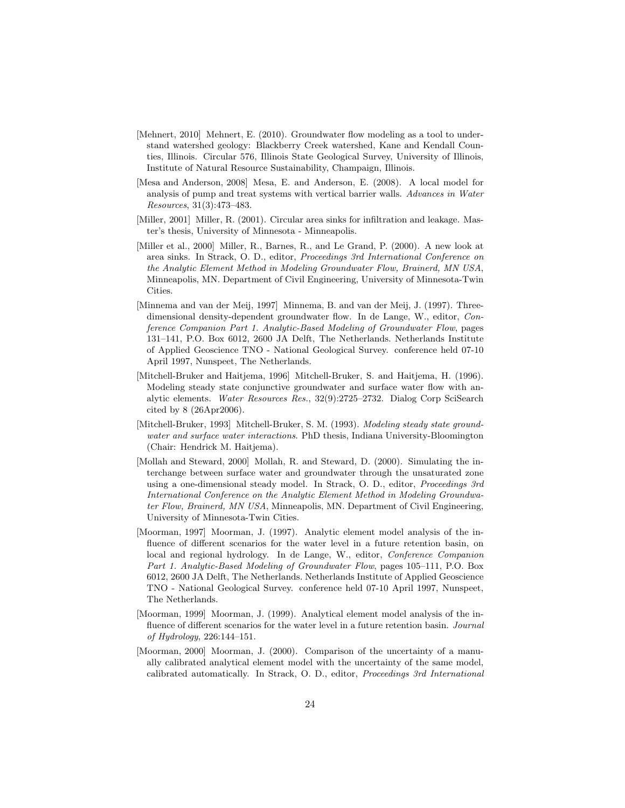- [Mehnert, 2010] Mehnert, E. (2010). Groundwater flow modeling as a tool to understand watershed geology: Blackberry Creek watershed, Kane and Kendall Counties, Illinois. Circular 576, Illinois State Geological Survey, University of Illinois, Institute of Natural Resource Sustainability, Champaign, Illinois.
- [Mesa and Anderson, 2008] Mesa, E. and Anderson, E. (2008). A local model for analysis of pump and treat systems with vertical barrier walls. Advances in Water Resources, 31(3):473–483.
- [Miller, 2001] Miller, R. (2001). Circular area sinks for infiltration and leakage. Master's thesis, University of Minnesota - Minneapolis.
- [Miller et al., 2000] Miller, R., Barnes, R., and Le Grand, P. (2000). A new look at area sinks. In Strack, O. D., editor, Proceedings 3rd International Conference on the Analytic Element Method in Modeling Groundwater Flow, Brainerd, MN USA, Minneapolis, MN. Department of Civil Engineering, University of Minnesota-Twin Cities.
- [Minnema and van der Meij, 1997] Minnema, B. and van der Meij, J. (1997). Threedimensional density-dependent groundwater flow. In de Lange, W., editor, Conference Companion Part 1. Analytic-Based Modeling of Groundwater Flow, pages 131–141, P.O. Box 6012, 2600 JA Delft, The Netherlands. Netherlands Institute of Applied Geoscience TNO - National Geological Survey. conference held 07-10 April 1997, Nunspeet, The Netherlands.
- [Mitchell-Bruker and Haitjema, 1996] Mitchell-Bruker, S. and Haitjema, H. (1996). Modeling steady state conjunctive groundwater and surface water flow with analytic elements. Water Resources Res., 32(9):2725–2732. Dialog Corp SciSearch cited by 8 (26Apr2006).
- [Mitchell-Bruker, 1993] Mitchell-Bruker, S. M. (1993). Modeling steady state groundwater and surface water interactions. PhD thesis, Indiana University-Bloomington (Chair: Hendrick M. Haitjema).
- [Mollah and Steward, 2000] Mollah, R. and Steward, D. (2000). Simulating the interchange between surface water and groundwater through the unsaturated zone using a one-dimensional steady model. In Strack, O. D., editor, Proceedings 3rd International Conference on the Analytic Element Method in Modeling Groundwater Flow, Brainerd, MN USA, Minneapolis, MN. Department of Civil Engineering, University of Minnesota-Twin Cities.
- [Moorman, 1997] Moorman, J. (1997). Analytic element model analysis of the influence of different scenarios for the water level in a future retention basin, on local and regional hydrology. In de Lange, W., editor, Conference Companion Part 1. Analytic-Based Modeling of Groundwater Flow, pages 105–111, P.O. Box 6012, 2600 JA Delft, The Netherlands. Netherlands Institute of Applied Geoscience TNO - National Geological Survey. conference held 07-10 April 1997, Nunspeet, The Netherlands.
- [Moorman, 1999] Moorman, J. (1999). Analytical element model analysis of the influence of different scenarios for the water level in a future retention basin. Journal of Hydrology, 226:144–151.
- [Moorman, 2000] Moorman, J. (2000). Comparison of the uncertainty of a manually calibrated analytical element model with the uncertainty of the same model, calibrated automatically. In Strack, O. D., editor, Proceedings 3rd International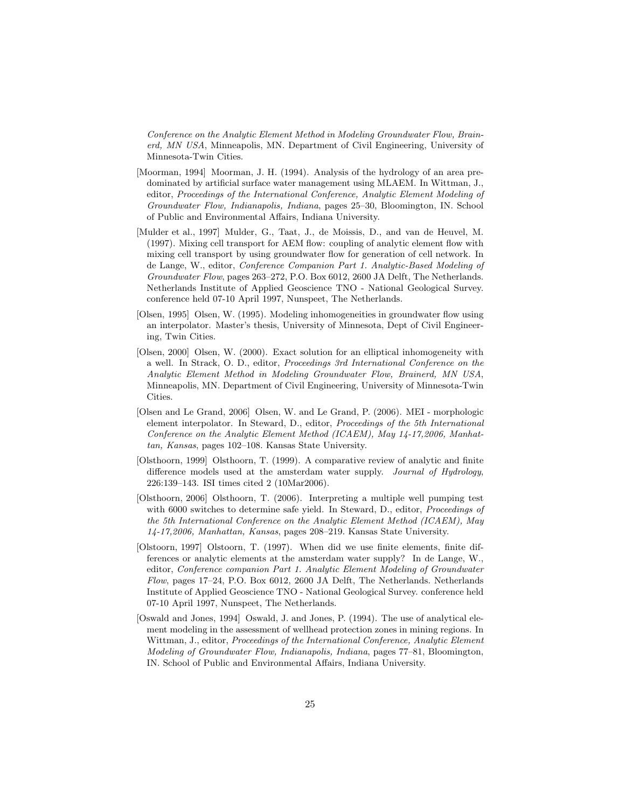Conference on the Analytic Element Method in Modeling Groundwater Flow, Brainerd, MN USA, Minneapolis, MN. Department of Civil Engineering, University of Minnesota-Twin Cities.

- [Moorman, 1994] Moorman, J. H. (1994). Analysis of the hydrology of an area predominated by artificial surface water management using MLAEM. In Wittman, J., editor, Proceedings of the International Conference, Analytic Element Modeling of Groundwater Flow, Indianapolis, Indiana, pages 25–30, Bloomington, IN. School of Public and Environmental Affairs, Indiana University.
- [Mulder et al., 1997] Mulder, G., Taat, J., de Moissis, D., and van de Heuvel, M. (1997). Mixing cell transport for AEM flow: coupling of analytic element flow with mixing cell transport by using groundwater flow for generation of cell network. In de Lange, W., editor, Conference Companion Part 1. Analytic-Based Modeling of Groundwater Flow, pages 263–272, P.O. Box 6012, 2600 JA Delft, The Netherlands. Netherlands Institute of Applied Geoscience TNO - National Geological Survey. conference held 07-10 April 1997, Nunspeet, The Netherlands.
- [Olsen, 1995] Olsen, W. (1995). Modeling inhomogeneities in groundwater flow using an interpolator. Master's thesis, University of Minnesota, Dept of Civil Engineering, Twin Cities.
- [Olsen, 2000] Olsen, W. (2000). Exact solution for an elliptical inhomogeneity with a well. In Strack, O. D., editor, Proceedings 3rd International Conference on the Analytic Element Method in Modeling Groundwater Flow, Brainerd, MN USA, Minneapolis, MN. Department of Civil Engineering, University of Minnesota-Twin Cities.
- [Olsen and Le Grand, 2006] Olsen, W. and Le Grand, P. (2006). MEI morphologic element interpolator. In Steward, D., editor, Proceedings of the 5th International Conference on the Analytic Element Method (ICAEM), May 14-17,2006, Manhattan, Kansas, pages 102–108. Kansas State University.
- [Olsthoorn, 1999] Olsthoorn, T. (1999). A comparative review of analytic and finite difference models used at the amsterdam water supply. Journal of Hydrology, 226:139–143. ISI times cited 2 (10Mar2006).
- [Olsthoorn, 2006] Olsthoorn, T. (2006). Interpreting a multiple well pumping test with 6000 switches to determine safe yield. In Steward, D., editor, *Proceedings of* the 5th International Conference on the Analytic Element Method (ICAEM), May 14-17,2006, Manhattan, Kansas, pages 208–219. Kansas State University.
- [Olstoorn, 1997] Olstoorn, T. (1997). When did we use finite elements, finite differences or analytic elements at the amsterdam water supply? In de Lange, W., editor, Conference companion Part 1. Analytic Element Modeling of Groundwater Flow, pages 17–24, P.O. Box 6012, 2600 JA Delft, The Netherlands. Netherlands Institute of Applied Geoscience TNO - National Geological Survey. conference held 07-10 April 1997, Nunspeet, The Netherlands.
- [Oswald and Jones, 1994] Oswald, J. and Jones, P. (1994). The use of analytical element modeling in the assessment of wellhead protection zones in mining regions. In Wittman, J., editor, Proceedings of the International Conference, Analytic Element Modeling of Groundwater Flow, Indianapolis, Indiana, pages 77–81, Bloomington, IN. School of Public and Environmental Affairs, Indiana University.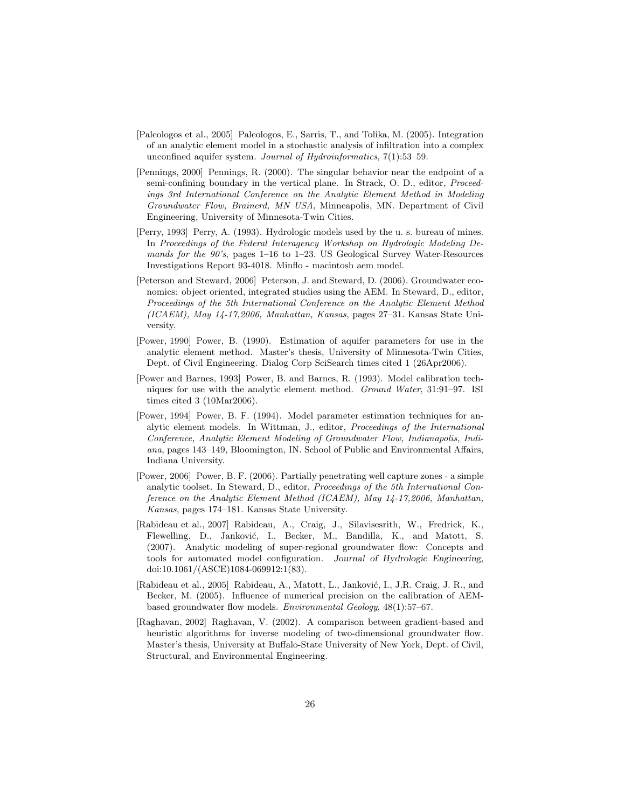- [Paleologos et al., 2005] Paleologos, E., Sarris, T., and Tolika, M. (2005). Integration of an analytic element model in a stochastic analysis of infiltration into a complex unconfined aquifer system. Journal of Hydroinformatics, 7(1):53–59.
- [Pennings, 2000] Pennings, R. (2000). The singular behavior near the endpoint of a semi-confining boundary in the vertical plane. In Strack, O. D., editor, *Proceed*ings 3rd International Conference on the Analytic Element Method in Modeling Groundwater Flow, Brainerd, MN USA, Minneapolis, MN. Department of Civil Engineering, University of Minnesota-Twin Cities.
- [Perry, 1993] Perry, A. (1993). Hydrologic models used by the u. s. bureau of mines. In Proceedings of the Federal Interagency Workshop on Hydrologic Modeling Demands for the 90's, pages 1–16 to 1–23. US Geological Survey Water-Resources Investigations Report 93-4018. Minflo - macintosh aem model.
- [Peterson and Steward, 2006] Peterson, J. and Steward, D. (2006). Groundwater economics: object oriented, integrated studies using the AEM. In Steward, D., editor, Proceedings of the 5th International Conference on the Analytic Element Method (ICAEM), May 14-17,2006, Manhattan, Kansas, pages 27–31. Kansas State University.
- [Power, 1990] Power, B. (1990). Estimation of aquifer parameters for use in the analytic element method. Master's thesis, University of Minnesota-Twin Cities, Dept. of Civil Engineering. Dialog Corp SciSearch times cited 1 (26Apr2006).
- [Power and Barnes, 1993] Power, B. and Barnes, R. (1993). Model calibration techniques for use with the analytic element method. Ground Water, 31:91–97. ISI times cited 3 (10Mar2006).
- [Power, 1994] Power, B. F. (1994). Model parameter estimation techniques for analytic element models. In Wittman, J., editor, Proceedings of the International Conference, Analytic Element Modeling of Groundwater Flow, Indianapolis, Indiana, pages 143–149, Bloomington, IN. School of Public and Environmental Affairs, Indiana University.
- [Power, 2006] Power, B. F. (2006). Partially penetrating well capture zones a simple analytic toolset. In Steward, D., editor, Proceedings of the 5th International Conference on the Analytic Element Method (ICAEM), May 14-17,2006, Manhattan, Kansas, pages 174–181. Kansas State University.
- [Rabideau et al., 2007] Rabideau, A., Craig, J., Silavisesrith, W., Fredrick, K., Flewelling, D., Janković, I., Becker, M., Bandilla, K., and Matott, S. (2007). Analytic modeling of super-regional groundwater flow: Concepts and tools for automated model configuration. Journal of Hydrologic Engineering, doi:10.1061/(ASCE)1084-069912:1(83).
- [Rabideau et al., 2005] Rabideau, A., Matott, L., Janković, I., J.R. Craig, J. R., and Becker, M. (2005). Influence of numerical precision on the calibration of AEMbased groundwater flow models. Environmental Geology, 48(1):57–67.
- [Raghavan, 2002] Raghavan, V. (2002). A comparison between gradient-based and heuristic algorithms for inverse modeling of two-dimensional groundwater flow. Master's thesis, University at Buffalo-State University of New York, Dept. of Civil, Structural, and Environmental Engineering.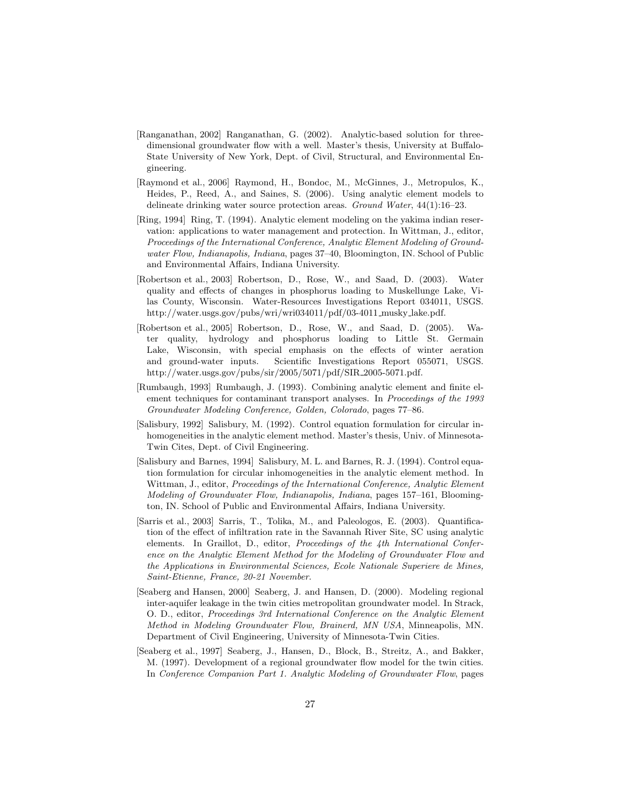- [Ranganathan, 2002] Ranganathan, G. (2002). Analytic-based solution for threedimensional groundwater flow with a well. Master's thesis, University at Buffalo-State University of New York, Dept. of Civil, Structural, and Environmental Engineering.
- [Raymond et al., 2006] Raymond, H., Bondoc, M., McGinnes, J., Metropulos, K., Heides, P., Reed, A., and Saines, S. (2006). Using analytic element models to delineate drinking water source protection areas. Ground Water, 44(1):16–23.
- [Ring, 1994] Ring, T. (1994). Analytic element modeling on the yakima indian reservation: applications to water management and protection. In Wittman, J., editor, Proceedings of the International Conference, Analytic Element Modeling of Groundwater Flow, Indianapolis, Indiana, pages 37–40, Bloomington, IN. School of Public and Environmental Affairs, Indiana University.
- [Robertson et al., 2003] Robertson, D., Rose, W., and Saad, D. (2003). Water quality and effects of changes in phosphorus loading to Muskellunge Lake, Vilas County, Wisconsin. Water-Resources Investigations Report 034011, USGS. http://water.usgs.gov/pubs/wri/wri034011/pdf/03-4011 musky lake.pdf.
- [Robertson et al., 2005] Robertson, D., Rose, W., and Saad, D. (2005). Water quality, hydrology and phosphorus loading to Little St. Germain Lake, Wisconsin, with special emphasis on the effects of winter aeration and ground-water inputs. Scientific Investigations Report 055071, USGS. http://water.usgs.gov/pubs/sir/2005/5071/pdf/SIR 2005-5071.pdf.
- [Rumbaugh, 1993] Rumbaugh, J. (1993). Combining analytic element and finite element techniques for contaminant transport analyses. In Proceedings of the 1993 Groundwater Modeling Conference, Golden, Colorado, pages 77–86.
- [Salisbury, 1992] Salisbury, M. (1992). Control equation formulation for circular inhomogeneities in the analytic element method. Master's thesis, Univ. of Minnesota-Twin Cites, Dept. of Civil Engineering.
- [Salisbury and Barnes, 1994] Salisbury, M. L. and Barnes, R. J. (1994). Control equation formulation for circular inhomogeneities in the analytic element method. In Wittman, J., editor, Proceedings of the International Conference, Analytic Element Modeling of Groundwater Flow, Indianapolis, Indiana, pages 157–161, Bloomington, IN. School of Public and Environmental Affairs, Indiana University.
- [Sarris et al., 2003] Sarris, T., Tolika, M., and Paleologos, E. (2003). Quantification of the effect of infiltration rate in the Savannah River Site, SC using analytic elements. In Graillot, D., editor, Proceedings of the 4th International Conference on the Analytic Element Method for the Modeling of Groundwater Flow and the Applications in Environmental Sciences, Ecole Nationale Superiere de Mines, Saint-Etienne, France, 20-21 November.
- [Seaberg and Hansen, 2000] Seaberg, J. and Hansen, D. (2000). Modeling regional inter-aquifer leakage in the twin cities metropolitan groundwater model. In Strack, O. D., editor, Proceedings 3rd International Conference on the Analytic Element Method in Modeling Groundwater Flow, Brainerd, MN USA, Minneapolis, MN. Department of Civil Engineering, University of Minnesota-Twin Cities.
- [Seaberg et al., 1997] Seaberg, J., Hansen, D., Block, B., Streitz, A., and Bakker, M. (1997). Development of a regional groundwater flow model for the twin cities. In Conference Companion Part 1. Analytic Modeling of Groundwater Flow, pages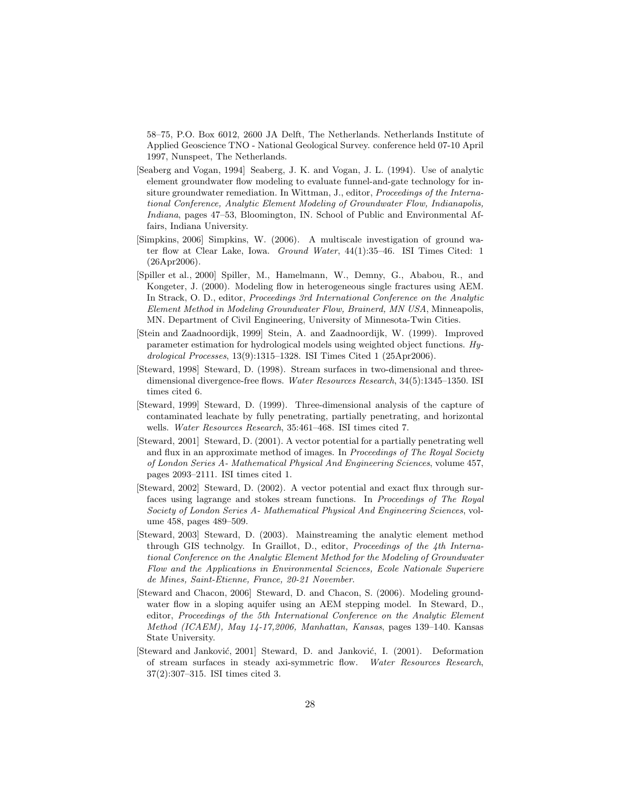58–75, P.O. Box 6012, 2600 JA Delft, The Netherlands. Netherlands Institute of Applied Geoscience TNO - National Geological Survey. conference held 07-10 April 1997, Nunspeet, The Netherlands.

- [Seaberg and Vogan, 1994] Seaberg, J. K. and Vogan, J. L. (1994). Use of analytic element groundwater flow modeling to evaluate funnel-and-gate technology for insiture groundwater remediation. In Wittman, J., editor, Proceedings of the International Conference, Analytic Element Modeling of Groundwater Flow, Indianapolis, Indiana, pages 47–53, Bloomington, IN. School of Public and Environmental Affairs, Indiana University.
- [Simpkins, 2006] Simpkins, W. (2006). A multiscale investigation of ground water flow at Clear Lake, Iowa. Ground Water, 44(1):35–46. ISI Times Cited: 1 (26Apr2006).
- [Spiller et al., 2000] Spiller, M., Hamelmann, W., Demny, G., Ababou, R., and Kongeter, J. (2000). Modeling flow in heterogeneous single fractures using AEM. In Strack, O. D., editor, Proceedings 3rd International Conference on the Analytic Element Method in Modeling Groundwater Flow, Brainerd, MN USA, Minneapolis, MN. Department of Civil Engineering, University of Minnesota-Twin Cities.
- [Stein and Zaadnoordijk, 1999] Stein, A. and Zaadnoordijk, W. (1999). Improved parameter estimation for hydrological models using weighted object functions. Hydrological Processes, 13(9):1315–1328. ISI Times Cited 1 (25Apr2006).
- [Steward, 1998] Steward, D. (1998). Stream surfaces in two-dimensional and threedimensional divergence-free flows. Water Resources Research, 34(5):1345-1350. ISI times cited 6.
- [Steward, 1999] Steward, D. (1999). Three-dimensional analysis of the capture of contaminated leachate by fully penetrating, partially penetrating, and horizontal wells. Water Resources Research, 35:461–468. ISI times cited 7.
- [Steward, 2001] Steward, D. (2001). A vector potential for a partially penetrating well and flux in an approximate method of images. In *Proceedings of The Royal Society* of London Series A- Mathematical Physical And Engineering Sciences, volume 457, pages 2093–2111. ISI times cited 1.
- [Steward, 2002] Steward, D. (2002). A vector potential and exact flux through surfaces using lagrange and stokes stream functions. In Proceedings of The Royal Society of London Series A- Mathematical Physical And Engineering Sciences, volume 458, pages 489–509.
- [Steward, 2003] Steward, D. (2003). Mainstreaming the analytic element method through GIS technolgy. In Graillot, D., editor, Proceedings of the 4th International Conference on the Analytic Element Method for the Modeling of Groundwater Flow and the Applications in Environmental Sciences, Ecole Nationale Superiere de Mines, Saint-Etienne, France, 20-21 November.
- [Steward and Chacon, 2006] Steward, D. and Chacon, S. (2006). Modeling groundwater flow in a sloping aquifer using an AEM stepping model. In Steward, D., editor, Proceedings of the 5th International Conference on the Analytic Element Method (ICAEM), May 14-17,2006, Manhattan, Kansas, pages 139–140. Kansas State University.
- [Steward and Janković, 2001] Steward, D. and Janković, I. (2001). Deformation of stream surfaces in steady axi-symmetric flow. Water Resources Research, 37(2):307–315. ISI times cited 3.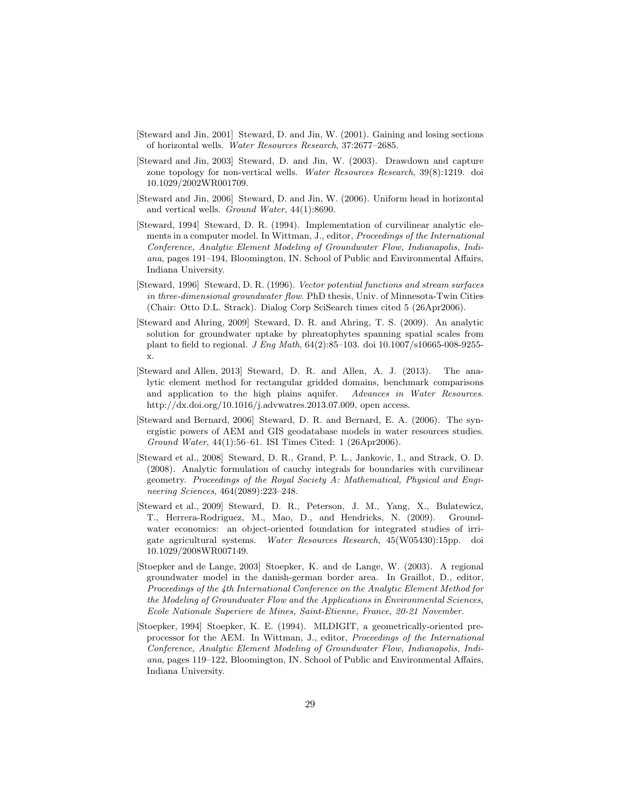- [Steward and Jin, 2001] Steward, D. and Jin, W. (2001). Gaining and losing sections of horizontal wells. Water Resources Research, 37:2677–2685.
- [Steward and Jin, 2003] Steward, D. and Jin, W. (2003). Drawdown and capture zone topology for non-vertical wells. Water Resources Research, 39(8):1219. doi 10.1029/2002WR001709.
- [Steward and Jin, 2006] Steward, D. and Jin, W. (2006). Uniform head in horizontal and vertical wells. Ground Water, 44(1):8690.
- [Steward, 1994] Steward, D. R. (1994). Implementation of curvilinear analytic elements in a computer model. In Wittman, J., editor, Proceedings of the International Conference, Analytic Element Modeling of Groundwater Flow, Indianapolis, Indiana, pages 191–194, Bloomington, IN. School of Public and Environmental Affairs, Indiana University.
- [Steward, 1996] Steward, D. R. (1996). Vector potential functions and stream surfaces in three-dimensional groundwater flow. PhD thesis, Univ. of Minnesota-Twin Cities (Chair: Otto D.L. Strack). Dialog Corp SciSearch times cited 5 (26Apr2006).
- [Steward and Ahring, 2009] Steward, D. R. and Ahring, T. S. (2009). An analytic solution for groundwater uptake by phreatophytes spanning spatial scales from plant to field to regional. J Eng Math,  $64(2):85-103$ . doi  $10.1007/s10665-008-9255$ x.
- [Steward and Allen, 2013] Steward, D. R. and Allen, A. J. (2013). The analytic element method for rectangular gridded domains, benchmark comparisons and application to the high plains aquifer. Advances in Water Resources. http://dx.doi.org/10.1016/j.advwatres.2013.07.009, open access.
- [Steward and Bernard, 2006] Steward, D. R. and Bernard, E. A. (2006). The synergistic powers of AEM and GIS geodatabase models in water resources studies. Ground Water, 44(1):56–61. ISI Times Cited: 1 (26Apr2006).
- [Steward et al., 2008] Steward, D. R., Grand, P. L., Jankovic, I., and Strack, O. D. (2008). Analytic formulation of cauchy integrals for boundaries with curvilinear geometry. Proceedings of the Royal Society A: Mathematical, Physical and Engineering Sciences, 464(2089):223–248.
- [Steward et al., 2009] Steward, D. R., Peterson, J. M., Yang, X., Bulatewicz, T., Herrera-Rodriguez, M., Mao, D., and Hendricks, N. (2009). Groundwater economics: an object-oriented foundation for integrated studies of irrigate agricultural systems. Water Resources Research, 45(W05430):15pp. doi 10.1029/2008WR007149.
- [Stoepker and de Lange, 2003] Stoepker, K. and de Lange, W. (2003). A regional groundwater model in the danish-german border area. In Graillot, D., editor, Proceedings of the 4th International Conference on the Analytic Element Method for the Modeling of Groundwater Flow and the Applications in Environmental Sciences, Ecole Nationale Superiere de Mines, Saint-Etienne, France, 20-21 November.
- [Stoepker, 1994] Stoepker, K. E. (1994). MLDIGIT, a geometrically-oriented preprocessor for the AEM. In Wittman, J., editor, Proceedings of the International Conference, Analytic Element Modeling of Groundwater Flow, Indianapolis, Indiana, pages 119–122, Bloomington, IN. School of Public and Environmental Affairs, Indiana University.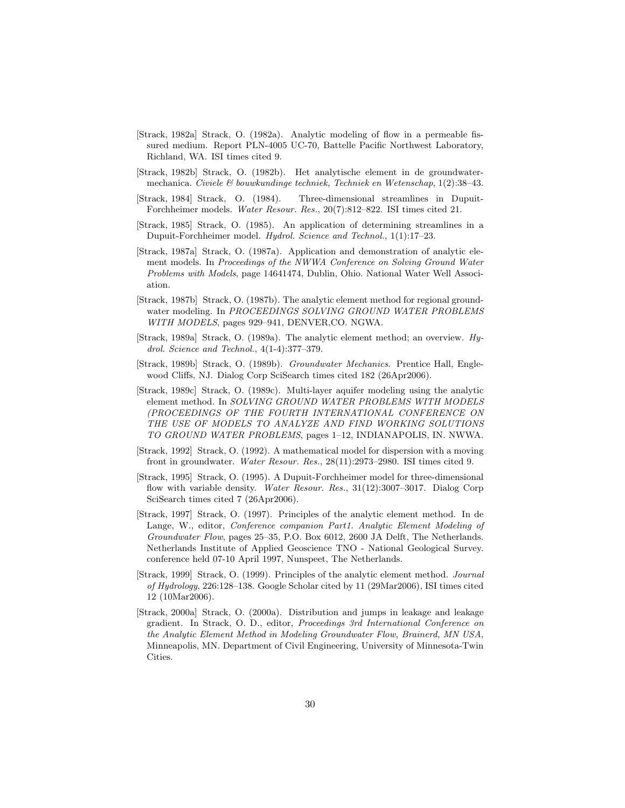- [Strack, 1982a] Strack, O. (1982a). Analytic modeling of flow in a permeable fissured medium. Report PLN-4005 UC-70, Battelle Pacific Northwest Laboratory, Richland, WA. ISI times cited 9.
- [Strack, 1982b] Strack, O. (1982b). Het analytische element in de groundwatermechanica. Civiele  $\mathcal{C}$  bouwkundinge techniek, Techniek en Wetenschap, 1(2):38–43.
- [Strack, 1984] Strack, O. (1984). Three-dimensional streamlines in Dupuit-Forchheimer models. Water Resour. Res., 20(7):812–822. ISI times cited 21.
- [Strack, 1985] Strack, O. (1985). An application of determining streamlines in a Dupuit-Forchheimer model. Hydrol. Science and Technol., 1(1):17-23.
- [Strack, 1987a] Strack, O. (1987a). Application and demonstration of analytic element models. In Proceedings of the NWWA Conference on Solving Ground Water Problems with Models, page 14641474, Dublin, Ohio. National Water Well Association.
- [Strack, 1987b] Strack, O. (1987b). The analytic element method for regional groundwater modeling. In PROCEEDINGS SOLVING GROUND WATER PROBLEMS WITH MODELS, pages 929-941, DENVER, CO. NGWA.
- [Strack, 1989a] Strack, O. (1989a). The analytic element method; an overview. Hydrol. Science and Technol., 4(1-4):377–379.
- [Strack, 1989b] Strack, O. (1989b). Groundwater Mechanics. Prentice Hall, Englewood Cliffs, NJ. Dialog Corp SciSearch times cited 182 (26Apr2006).
- [Strack, 1989c] Strack, O. (1989c). Multi-layer aquifer modeling using the analytic element method. In SOLVING GROUND WATER PROBLEMS WITH MODELS (PROCEEDINGS OF THE FOURTH INTERNATIONAL CONFERENCE ON THE USE OF MODELS TO ANALYZE AND FIND WORKING SOLUTIONS TO GROUND WATER PROBLEMS, pages 1–12, INDIANAPOLIS, IN. NWWA.
- [Strack, 1992] Strack, O. (1992). A mathematical model for dispersion with a moving front in groundwater. Water Resour. Res., 28(11):2973–2980. ISI times cited 9.
- [Strack, 1995] Strack, O. (1995). A Dupuit-Forchheimer model for three-dimensional flow with variable density. Water Resour. Res., 31(12):3007-3017. Dialog Corp SciSearch times cited 7 (26Apr2006).
- [Strack, 1997] Strack, O. (1997). Principles of the analytic element method. In de Lange, W., editor, Conference companion Part1. Analytic Element Modeling of Groundwater Flow, pages 25–35, P.O. Box 6012, 2600 JA Delft, The Netherlands. Netherlands Institute of Applied Geoscience TNO - National Geological Survey. conference held 07-10 April 1997, Nunspeet, The Netherlands.
- [Strack, 1999] Strack, O. (1999). Principles of the analytic element method. Journal of Hydrology, 226:128–138. Google Scholar cited by 11 (29Mar2006), ISI times cited 12 (10Mar2006).
- [Strack, 2000a] Strack, O. (2000a). Distribution and jumps in leakage and leakage gradient. In Strack, O. D., editor, Proceedings 3rd International Conference on the Analytic Element Method in Modeling Groundwater Flow, Brainerd, MN USA, Minneapolis, MN. Department of Civil Engineering, University of Minnesota-Twin Cities.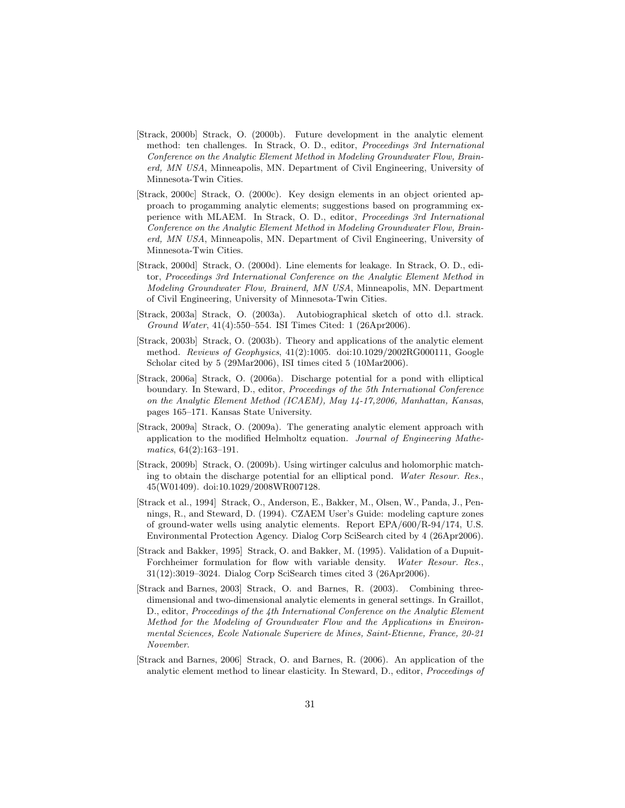- [Strack, 2000b] Strack, O. (2000b). Future development in the analytic element method: ten challenges. In Strack, O. D., editor, Proceedings 3rd International Conference on the Analytic Element Method in Modeling Groundwater Flow, Brainerd, MN USA, Minneapolis, MN. Department of Civil Engineering, University of Minnesota-Twin Cities.
- [Strack, 2000c] Strack, O. (2000c). Key design elements in an object oriented approach to progamming analytic elements; suggestions based on programming experience with MLAEM. In Strack, O. D., editor, Proceedings 3rd International Conference on the Analytic Element Method in Modeling Groundwater Flow, Brainerd, MN USA, Minneapolis, MN. Department of Civil Engineering, University of Minnesota-Twin Cities.
- [Strack, 2000d] Strack, O. (2000d). Line elements for leakage. In Strack, O. D., editor, Proceedings 3rd International Conference on the Analytic Element Method in Modeling Groundwater Flow, Brainerd, MN USA, Minneapolis, MN. Department of Civil Engineering, University of Minnesota-Twin Cities.
- [Strack, 2003a] Strack, O. (2003a). Autobiographical sketch of otto d.l. strack. Ground Water, 41(4):550–554. ISI Times Cited: 1 (26Apr2006).
- [Strack, 2003b] Strack, O. (2003b). Theory and applications of the analytic element method. Reviews of Geophysics, 41(2):1005. doi:10.1029/2002RG000111, Google Scholar cited by 5 (29Mar2006), ISI times cited 5 (10Mar2006).
- [Strack, 2006a] Strack, O. (2006a). Discharge potential for a pond with elliptical boundary. In Steward, D., editor, Proceedings of the 5th International Conference on the Analytic Element Method (ICAEM), May 14-17,2006, Manhattan, Kansas, pages 165–171. Kansas State University.
- [Strack, 2009a] Strack, O. (2009a). The generating analytic element approach with application to the modified Helmholtz equation. Journal of Engineering Mathematics, 64(2):163–191.
- [Strack, 2009b] Strack, O. (2009b). Using wirtinger calculus and holomorphic matching to obtain the discharge potential for an elliptical pond. Water Resour. Res., 45(W01409). doi:10.1029/2008WR007128.
- [Strack et al., 1994] Strack, O., Anderson, E., Bakker, M., Olsen, W., Panda, J., Pennings, R., and Steward, D. (1994). CZAEM User's Guide: modeling capture zones of ground-water wells using analytic elements. Report EPA/600/R-94/174, U.S. Environmental Protection Agency. Dialog Corp SciSearch cited by 4 (26Apr2006).
- [Strack and Bakker, 1995] Strack, O. and Bakker, M. (1995). Validation of a Dupuit-Forchheimer formulation for flow with variable density. Water Resour. Res., 31(12):3019–3024. Dialog Corp SciSearch times cited 3 (26Apr2006).
- [Strack and Barnes, 2003] Strack, O. and Barnes, R. (2003). Combining threedimensional and two-dimensional analytic elements in general settings. In Graillot, D., editor, Proceedings of the 4th International Conference on the Analytic Element Method for the Modeling of Groundwater Flow and the Applications in Environmental Sciences, Ecole Nationale Superiere de Mines, Saint-Etienne, France, 20-21 November.
- [Strack and Barnes, 2006] Strack, O. and Barnes, R. (2006). An application of the analytic element method to linear elasticity. In Steward, D., editor, Proceedings of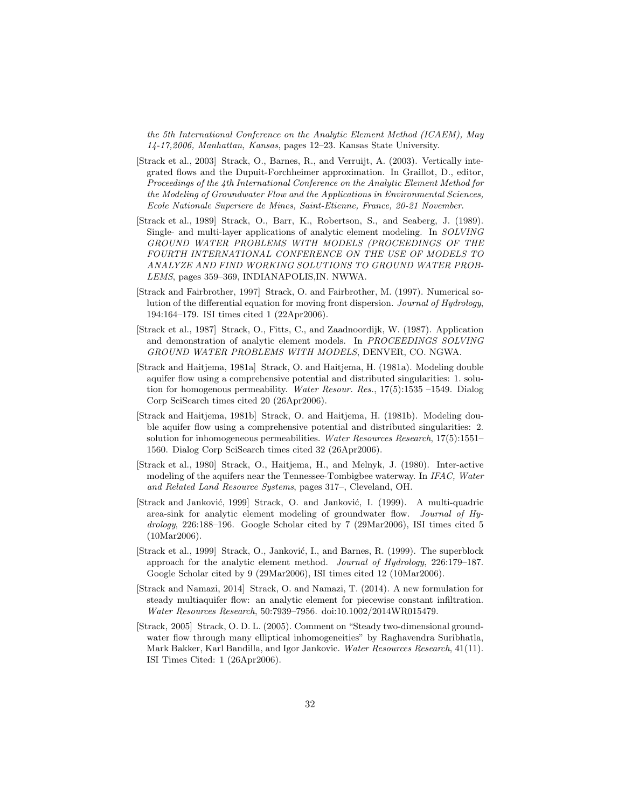the 5th International Conference on the Analytic Element Method (ICAEM), May 14-17,2006, Manhattan, Kansas, pages 12–23. Kansas State University.

- [Strack et al., 2003] Strack, O., Barnes, R., and Verruijt, A. (2003). Vertically integrated flows and the Dupuit-Forchheimer approximation. In Graillot, D., editor, Proceedings of the 4th International Conference on the Analytic Element Method for the Modeling of Groundwater Flow and the Applications in Environmental Sciences, Ecole Nationale Superiere de Mines, Saint-Etienne, France, 20-21 November.
- [Strack et al., 1989] Strack, O., Barr, K., Robertson, S., and Seaberg, J. (1989). Single- and multi-layer applications of analytic element modeling. In SOLVING GROUND WATER PROBLEMS WITH MODELS (PROCEEDINGS OF THE FOURTH INTERNATIONAL CONFERENCE ON THE USE OF MODELS TO ANALYZE AND FIND WORKING SOLUTIONS TO GROUND WATER PROB-LEMS, pages 359–369, INDIANAPOLIS,IN. NWWA.
- [Strack and Fairbrother, 1997] Strack, O. and Fairbrother, M. (1997). Numerical solution of the differential equation for moving front dispersion. Journal of Hydrology, 194:164–179. ISI times cited 1 (22Apr2006).
- [Strack et al., 1987] Strack, O., Fitts, C., and Zaadnoordijk, W. (1987). Application and demonstration of analytic element models. In PROCEEDINGS SOLVING GROUND WATER PROBLEMS WITH MODELS, DENVER, CO. NGWA.
- [Strack and Haitjema, 1981a] Strack, O. and Haitjema, H. (1981a). Modeling double aquifer flow using a comprehensive potential and distributed singularities: 1. solution for homogenous permeability. Water Resour. Res.,  $17(5)$ :1535 –1549. Dialog Corp SciSearch times cited 20 (26Apr2006).
- [Strack and Haitjema, 1981b] Strack, O. and Haitjema, H. (1981b). Modeling double aquifer flow using a comprehensive potential and distributed singularities: 2. solution for inhomogeneous permeabilities. Water Resources Research, 17(5):1551– 1560. Dialog Corp SciSearch times cited 32 (26Apr2006).
- [Strack et al., 1980] Strack, O., Haitjema, H., and Melnyk, J. (1980). Inter-active modeling of the aquifers near the Tennessee-Tombigbee waterway. In IFAC, Water and Related Land Resource Systems, pages 317–, Cleveland, OH.
- [Strack and Janković, 1999] Strack, O. and Janković, I. (1999). A multi-quadric area-sink for analytic element modeling of groundwater flow. Journal of Hydrology, 226:188–196. Google Scholar cited by 7 (29Mar2006), ISI times cited 5 (10Mar2006).
- [Strack et al., 1999] Strack, O., Janković, I., and Barnes, R. (1999). The superblock approach for the analytic element method. Journal of Hydrology, 226:179–187. Google Scholar cited by 9 (29Mar2006), ISI times cited 12 (10Mar2006).
- [Strack and Namazi, 2014] Strack, O. and Namazi, T. (2014). A new formulation for steady multiaquifer flow: an analytic element for piecewise constant infiltration. Water Resources Research, 50:7939–7956. doi:10.1002/2014WR015479.
- [Strack, 2005] Strack, O. D. L. (2005). Comment on "Steady two-dimensional groundwater flow through many elliptical inhomogeneities" by Raghavendra Suribhatla, Mark Bakker, Karl Bandilla, and Igor Jankovic. Water Resources Research, 41(11). ISI Times Cited: 1 (26Apr2006).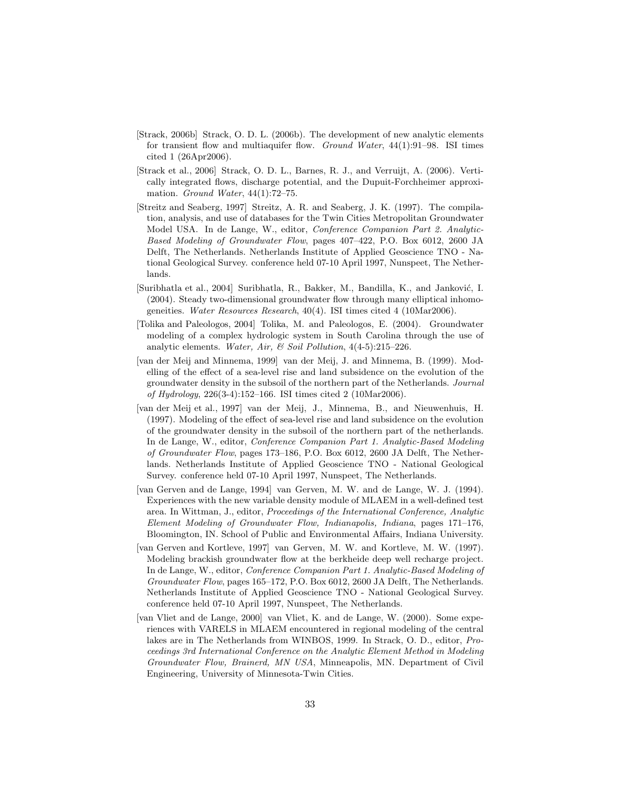- [Strack, 2006b] Strack, O. D. L. (2006b). The development of new analytic elements for transient flow and multiaquifer flow. Ground Water, 44(1):91–98. ISI times cited 1 (26Apr2006).
- [Strack et al., 2006] Strack, O. D. L., Barnes, R. J., and Verruijt, A. (2006). Vertically integrated flows, discharge potential, and the Dupuit-Forchheimer approximation. Ground Water, 44(1):72–75.
- [Streitz and Seaberg, 1997] Streitz, A. R. and Seaberg, J. K. (1997). The compilation, analysis, and use of databases for the Twin Cities Metropolitan Groundwater Model USA. In de Lange, W., editor, Conference Companion Part 2. Analytic-Based Modeling of Groundwater Flow, pages 407–422, P.O. Box 6012, 2600 JA Delft, The Netherlands. Netherlands Institute of Applied Geoscience TNO - National Geological Survey. conference held 07-10 April 1997, Nunspeet, The Netherlands.
- [Suribhatla et al., 2004] Suribhatla, R., Bakker, M., Bandilla, K., and Janković, I. (2004). Steady two-dimensional groundwater flow through many elliptical inhomogeneities. Water Resources Research, 40(4). ISI times cited 4 (10Mar2006).
- [Tolika and Paleologos, 2004] Tolika, M. and Paleologos, E. (2004). Groundwater modeling of a complex hydrologic system in South Carolina through the use of analytic elements. Water, Air, & Soil Pollution,  $4(4-5):215-226$ .
- [van der Meij and Minnema, 1999] van der Meij, J. and Minnema, B. (1999). Modelling of the effect of a sea-level rise and land subsidence on the evolution of the groundwater density in the subsoil of the northern part of the Netherlands. Journal of Hydrology, 226(3-4):152–166. ISI times cited 2 (10Mar2006).
- [van der Meij et al., 1997] van der Meij, J., Minnema, B., and Nieuwenhuis, H. (1997). Modeling of the effect of sea-level rise and land subsidence on the evolution of the groundwater density in the subsoil of the northern part of the netherlands. In de Lange, W., editor, Conference Companion Part 1. Analytic-Based Modeling of Groundwater Flow, pages 173–186, P.O. Box 6012, 2600 JA Delft, The Netherlands. Netherlands Institute of Applied Geoscience TNO - National Geological Survey. conference held 07-10 April 1997, Nunspeet, The Netherlands.
- [van Gerven and de Lange, 1994] van Gerven, M. W. and de Lange, W. J. (1994). Experiences with the new variable density module of MLAEM in a well-defined test area. In Wittman, J., editor, Proceedings of the International Conference, Analytic Element Modeling of Groundwater Flow, Indianapolis, Indiana, pages 171–176, Bloomington, IN. School of Public and Environmental Affairs, Indiana University.
- [van Gerven and Kortleve, 1997] van Gerven, M. W. and Kortleve, M. W. (1997). Modeling brackish groundwater flow at the berkheide deep well recharge project. In de Lange, W., editor, Conference Companion Part 1. Analytic-Based Modeling of Groundwater Flow, pages 165–172, P.O. Box 6012, 2600 JA Delft, The Netherlands. Netherlands Institute of Applied Geoscience TNO - National Geological Survey. conference held 07-10 April 1997, Nunspeet, The Netherlands.
- [van Vliet and de Lange, 2000] van Vliet, K. and de Lange, W. (2000). Some experiences with VARELS in MLAEM encountered in regional modeling of the central lakes are in The Netherlands from WINBOS, 1999. In Strack, O. D., editor, Proceedings 3rd International Conference on the Analytic Element Method in Modeling Groundwater Flow, Brainerd, MN USA, Minneapolis, MN. Department of Civil Engineering, University of Minnesota-Twin Cities.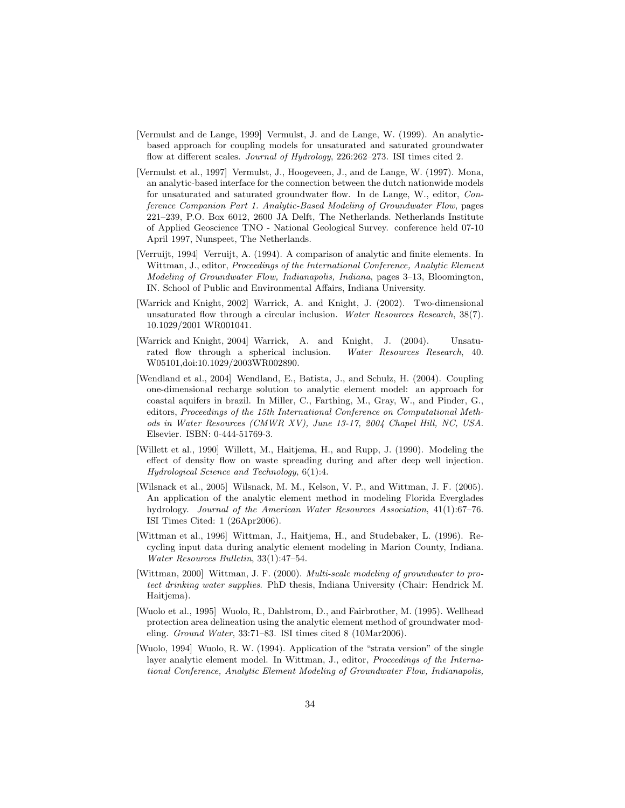- [Vermulst and de Lange, 1999] Vermulst, J. and de Lange, W. (1999). An analyticbased approach for coupling models for unsaturated and saturated groundwater flow at different scales. Journal of Hydrology, 226:262–273. ISI times cited 2.
- [Vermulst et al., 1997] Vermulst, J., Hoogeveen, J., and de Lange, W. (1997). Mona, an analytic-based interface for the connection between the dutch nationwide models for unsaturated and saturated groundwater flow. In de Lange, W., editor, Conference Companion Part 1. Analytic-Based Modeling of Groundwater Flow, pages 221–239, P.O. Box 6012, 2600 JA Delft, The Netherlands. Netherlands Institute of Applied Geoscience TNO - National Geological Survey. conference held 07-10 April 1997, Nunspeet, The Netherlands.
- [Verruijt, 1994] Verruijt, A. (1994). A comparison of analytic and finite elements. In Wittman, J., editor, *Proceedings of the International Conference, Analytic Element* Modeling of Groundwater Flow, Indianapolis, Indiana, pages 3–13, Bloomington, IN. School of Public and Environmental Affairs, Indiana University.
- [Warrick and Knight, 2002] Warrick, A. and Knight, J. (2002). Two-dimensional unsaturated flow through a circular inclusion. Water Resources Research, 38(7). 10.1029/2001 WR001041.
- [Warrick and Knight, 2004] Warrick, A. and Knight, J. (2004). Unsaturated flow through a spherical inclusion. Water Resources Research, 40. W05101,doi:10.1029/2003WR002890.
- [Wendland et al., 2004] Wendland, E., Batista, J., and Schulz, H. (2004). Coupling one-dimensional recharge solution to analytic element model: an approach for coastal aquifers in brazil. In Miller, C., Farthing, M., Gray, W., and Pinder, G., editors, Proceedings of the 15th International Conference on Computational Methods in Water Resources (CMWR XV), June 13-17, 2004 Chapel Hill, NC, USA. Elsevier. ISBN: 0-444-51769-3.
- [Willett et al., 1990] Willett, M., Haitjema, H., and Rupp, J. (1990). Modeling the effect of density flow on waste spreading during and after deep well injection. Hydrological Science and Technology, 6(1):4.
- [Wilsnack et al., 2005] Wilsnack, M. M., Kelson, V. P., and Wittman, J. F. (2005). An application of the analytic element method in modeling Florida Everglades hydrology. Journal of the American Water Resources Association, 41(1):67–76. ISI Times Cited: 1 (26Apr2006).
- [Wittman et al., 1996] Wittman, J., Haitjema, H., and Studebaker, L. (1996). Recycling input data during analytic element modeling in Marion County, Indiana. Water Resources Bulletin, 33(1):47–54.
- [Wittman, 2000] Wittman, J. F. (2000). Multi-scale modeling of groundwater to protect drinking water supplies. PhD thesis, Indiana University (Chair: Hendrick M. Haitjema).
- [Wuolo et al., 1995] Wuolo, R., Dahlstrom, D., and Fairbrother, M. (1995). Wellhead protection area delineation using the analytic element method of groundwater modeling. Ground Water, 33:71–83. ISI times cited 8 (10Mar2006).
- [Wuolo, 1994] Wuolo, R. W. (1994). Application of the "strata version" of the single layer analytic element model. In Wittman, J., editor, Proceedings of the International Conference, Analytic Element Modeling of Groundwater Flow, Indianapolis,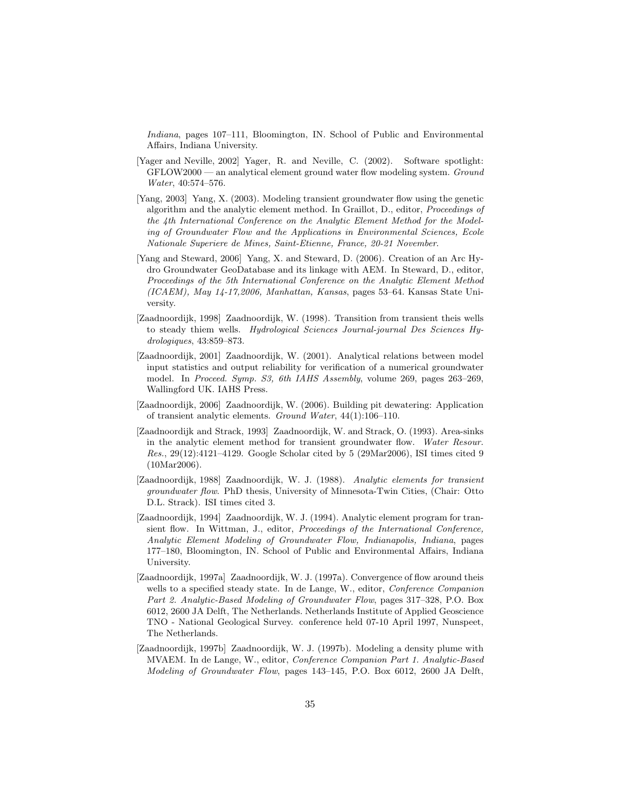Indiana, pages 107–111, Bloomington, IN. School of Public and Environmental Affairs, Indiana University.

- [Yager and Neville, 2002] Yager, R. and Neville, C. (2002). Software spotlight: GFLOW2000 — an analytical element ground water flow modeling system. Ground Water, 40:574–576.
- [Yang, 2003] Yang, X. (2003). Modeling transient groundwater flow using the genetic algorithm and the analytic element method. In Graillot, D., editor, Proceedings of the 4th International Conference on the Analytic Element Method for the Modeling of Groundwater Flow and the Applications in Environmental Sciences, Ecole Nationale Superiere de Mines, Saint-Etienne, France, 20-21 November.
- [Yang and Steward, 2006] Yang, X. and Steward, D. (2006). Creation of an Arc Hydro Groundwater GeoDatabase and its linkage with AEM. In Steward, D., editor, Proceedings of the 5th International Conference on the Analytic Element Method (ICAEM), May 14-17,2006, Manhattan, Kansas, pages 53–64. Kansas State University.
- [Zaadnoordijk, 1998] Zaadnoordijk, W. (1998). Transition from transient theis wells to steady thiem wells. Hydrological Sciences Journal-journal Des Sciences Hydrologiques, 43:859–873.
- [Zaadnoordijk, 2001] Zaadnoordijk, W. (2001). Analytical relations between model input statistics and output reliability for verification of a numerical groundwater model. In Proceed. Symp. S3, 6th IAHS Assembly, volume 269, pages 263–269, Wallingford UK. IAHS Press.
- [Zaadnoordijk, 2006] Zaadnoordijk, W. (2006). Building pit dewatering: Application of transient analytic elements. Ground Water, 44(1):106–110.
- [Zaadnoordijk and Strack, 1993] Zaadnoordijk, W. and Strack, O. (1993). Area-sinks in the analytic element method for transient groundwater flow. Water Resour. Res., 29(12):4121–4129. Google Scholar cited by 5 (29Mar2006), ISI times cited 9 (10Mar2006).
- [Zaadnoordijk, 1988] Zaadnoordijk, W. J. (1988). Analytic elements for transient groundwater flow. PhD thesis, University of Minnesota-Twin Cities, (Chair: Otto D.L. Strack). ISI times cited 3.
- [Zaadnoordijk, 1994] Zaadnoordijk, W. J. (1994). Analytic element program for transient flow. In Wittman, J., editor, Proceedings of the International Conference, Analytic Element Modeling of Groundwater Flow, Indianapolis, Indiana, pages 177–180, Bloomington, IN. School of Public and Environmental Affairs, Indiana University.
- [Zaadnoordijk, 1997a] Zaadnoordijk, W. J. (1997a). Convergence of flow around theis wells to a specified steady state. In de Lange, W., editor, *Conference Companion* Part 2. Analytic-Based Modeling of Groundwater Flow, pages 317–328, P.O. Box 6012, 2600 JA Delft, The Netherlands. Netherlands Institute of Applied Geoscience TNO - National Geological Survey. conference held 07-10 April 1997, Nunspeet, The Netherlands.
- [Zaadnoordijk, 1997b] Zaadnoordijk, W. J. (1997b). Modeling a density plume with MVAEM. In de Lange, W., editor, Conference Companion Part 1. Analytic-Based Modeling of Groundwater Flow, pages 143–145, P.O. Box 6012, 2600 JA Delft,